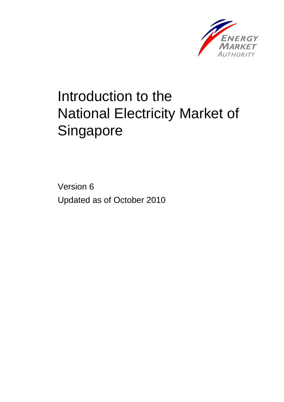

# Introduction to the National Electricity Market of **Singapore**

Version 6 Updated as of October 2010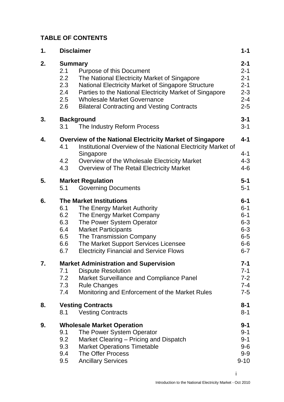# **TABLE OF CONTENTS**

| 1. |                                               | <b>Disclaimer</b>                                                                                                                                                                                                                                                                                                     | $1 - 1$                                                                            |
|----|-----------------------------------------------|-----------------------------------------------------------------------------------------------------------------------------------------------------------------------------------------------------------------------------------------------------------------------------------------------------------------------|------------------------------------------------------------------------------------|
| 2. | 2.1<br>2.2<br>2.3<br>2.4<br>2.5<br>2.6        | <b>Summary</b><br><b>Purpose of this Document</b><br>The National Electricity Market of Singapore<br><b>National Electricity Market of Singapore Structure</b><br>Parties to the National Electricity Market of Singapore<br><b>Wholesale Market Governance</b><br><b>Bilateral Contracting and Vesting Contracts</b> | $2 - 1$<br>$2 - 1$<br>$2 - 1$<br>$2 - 1$<br>$2 - 3$<br>$2 - 4$<br>$2 - 5$          |
| 3. | 3.1                                           | <b>Background</b><br>The Industry Reform Process                                                                                                                                                                                                                                                                      | $3 - 1$<br>$3 - 1$                                                                 |
| 4. | 4.1<br>4.2<br>4.3                             | <b>Overview of the National Electricity Market of Singapore</b><br>Institutional Overview of the National Electricity Market of<br>Singapore<br>Overview of the Wholesale Electricity Market<br><b>Overview of The Retail Electricity Market</b>                                                                      | $4 - 1$<br>$4 - 1$<br>$4 - 3$<br>$4 - 6$                                           |
| 5. | 5.1                                           | <b>Market Regulation</b><br><b>Governing Documents</b>                                                                                                                                                                                                                                                                | $5-1$<br>$5 - 1$                                                                   |
| 6. | 6.1<br>6.2<br>6.3<br>6.4<br>6.5<br>6.6<br>6.7 | <b>The Market Institutions</b><br>The Energy Market Authority<br>The Energy Market Company<br>The Power System Operator<br><b>Market Participants</b><br>The Transmission Company<br>The Market Support Services Licensee<br><b>Electricity Financial and Service Flows</b>                                           | $6 - 1$<br>$6 - 1$<br>$6 - 1$<br>$6 - 3$<br>$6 - 3$<br>$6 - 5$<br>$6-6$<br>$6 - 7$ |
| 7. | 7.1<br>7.2<br>7.3<br>7.4                      | <b>Market Administration and Supervision</b><br><b>Dispute Resolution</b><br>Market Surveillance and Compliance Panel<br><b>Rule Changes</b><br>Monitoring and Enforcement of the Market Rules                                                                                                                        | 7-1<br>7-1<br>$7 - 2$<br>$7 - 4$<br>$7 - 5$                                        |
| 8. | 8.1                                           | <b>Vesting Contracts</b><br><b>Vesting Contracts</b>                                                                                                                                                                                                                                                                  | $8 - 1$<br>$8 - 1$                                                                 |
| 9. | 9.1<br>9.2<br>9.3<br>9.4<br>9.5               | <b>Wholesale Market Operation</b><br>The Power System Operator<br>Market Clearing - Pricing and Dispatch<br><b>Market Operations Timetable</b><br>The Offer Process<br><b>Ancillary Services</b>                                                                                                                      | $9 - 1$<br>$9 - 1$<br>9-1<br>$9 - 6$<br>$9 - 9$<br>$9 - 10$                        |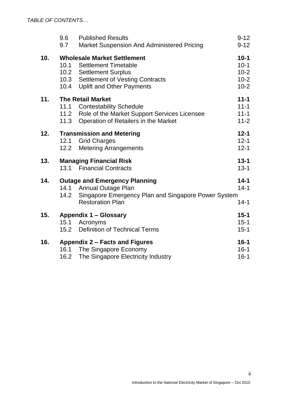|     | 9.6<br>9.7           | <b>Published Results</b><br>Market Suspension And Administered Pricing                                                                                                     | $9 - 12$<br>$9 - 12$                               |
|-----|----------------------|----------------------------------------------------------------------------------------------------------------------------------------------------------------------------|----------------------------------------------------|
| 10. | 10.1<br>10.2<br>10.4 | <b>Wholesale Market Settlement</b><br><b>Settlement Timetable</b><br><b>Settlement Surplus</b><br>10.3 Settlement of Vesting Contracts<br><b>Uplift and Other Payments</b> | $10-1$<br>$10 - 1$<br>$10-2$<br>$10 - 2$<br>$10-2$ |
| 11. | 11.1<br>11.3         | <b>The Retail Market</b><br><b>Contestability Schedule</b><br>11.2 Role of the Market Support Services Licensee<br>Operation of Retailers in the Market                    | $11 - 1$<br>$11 - 1$<br>$11 - 1$<br>$11 - 2$       |
| 12. | 12.1<br>12.2         | <b>Transmission and Metering</b><br><b>Grid Charges</b><br><b>Metering Arrangements</b>                                                                                    | $12 - 1$<br>$12 - 1$<br>$12 - 1$                   |
| 13. |                      | <b>Managing Financial Risk</b><br>13.1 Financial Contracts                                                                                                                 | $13 - 1$<br>$13 - 1$                               |
| 14. | 14.1<br>14.2         | <b>Outage and Emergency Planning</b><br><b>Annual Outage Plan</b><br>Singapore Emergency Plan and Singapore Power System<br><b>Restoration Plan</b>                        | $14 - 1$<br>$14 - 1$<br>$14 - 1$                   |
| 15. |                      | <b>Appendix 1 - Glossary</b><br>15.1 Acronyms<br>15.2 Definition of Technical Terms                                                                                        | $15 - 1$<br>$15 - 1$<br>$15 - 1$                   |
| 16. | 16.1<br>16.2         | Appendix 2 – Facts and Figures<br>The Singapore Economy<br>The Singapore Electricity Industry                                                                              | $16 - 1$<br>$16 - 1$<br>$16 - 1$                   |

ii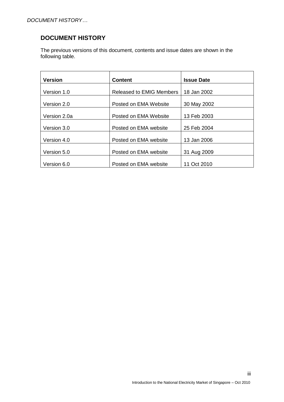# **DOCUMENT HISTORY**

The previous versions of this document, contents and issue dates are shown in the following table.

| <b>Version</b> | <b>Content</b>                  | <b>Issue Date</b> |
|----------------|---------------------------------|-------------------|
| Version 1.0    | <b>Released to EMIG Members</b> | 18 Jan 2002       |
| Version 2.0    | Posted on EMA Website           | 30 May 2002       |
| Version 2.0a   | Posted on EMA Website           | 13 Feb 2003       |
| Version 3.0    | Posted on EMA website           | 25 Feb 2004       |
| Version 4.0    | Posted on EMA website           | 13 Jan 2006       |
| Version 5.0    | Posted on EMA website           | 31 Aug 2009       |
| Version 6.0    | Posted on EMA website           | 11 Oct 2010       |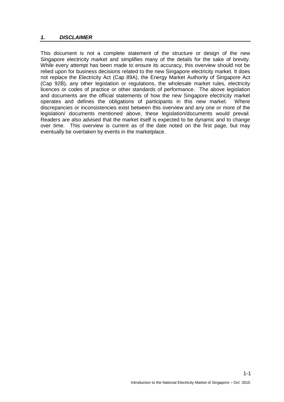#### <span id="page-4-0"></span>*1. DISCLAIMER*

This document is not a complete statement of the structure or design of the new Singapore electricity market and simplifies many of the details for the sake of brevity. While every attempt has been made to ensure its accuracy, this overview should not be relied upon for business decisions related to the new Singapore electricity market. It does not replace the Electricity Act (Cap 89A), the Energy Market Authority of Singapore Act (Cap 92B), any other legislation or regulations, the wholesale market rules, electricity licences or codes of practice or other standards of performance. The above legislation and documents are the official statements of how the new Singapore electricity market operates and defines the obligations of participants in this new market. Where discrepancies or inconsistencies exist between this overview and any one or more of the legislation/ documents mentioned above, these legislation/documents would prevail. Readers are also advised that the market itself is expected to be dynamic and to change over time. This overview is current as of the date noted on the first page, but may eventually be overtaken by events in the marketplace.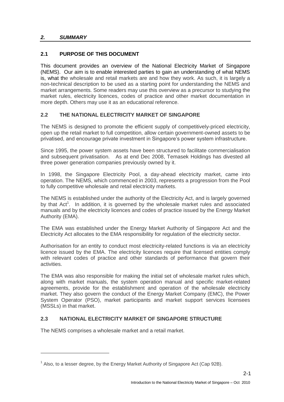#### <span id="page-5-0"></span>*2. SUMMARY*

## <span id="page-5-1"></span>**2.1 PURPOSE OF THIS DOCUMENT**

This document provides an overview of the National Electricity Market of Singapore (NEMS). Our aim is to enable interested parties to gain an understanding of what NEMS is, what the wholesale and retail markets are and how they work. As such, it is largely a non-technical description to be used as a starting point for understanding the NEMS and market arrangements. Some readers may use this overview as a precursor to studying the market rules, electricity licences, codes of practice and other market documentation in more depth. Others may use it as an educational reference.

# <span id="page-5-2"></span>**2.2 THE NATIONAL ELECTRICITY MARKET OF SINGAPORE**

The NEMS is designed to promote the efficient supply of competitively-priced electricity, open up the retail market to full competition, allow certain government-owned assets to be privatised, and encourage private investment in Singapore's power system infrastructure.

Since 1995, the power system assets have been structured to facilitate commercialisation and subsequent privatisation. As at end Dec 2008, Temasek Holdings has divested all three power generation companies previously owned by it.

In 1998, the Singapore Electricity Pool, a day-ahead electricity market, came into operation. The NEMS, which commenced in 2003, represents a progression from the Pool to fully competitive wholesale and retail electricity markets.

The NEMS is established under the authority of the Electricity Act, and is largely governed by that Act<sup>1</sup>. In addition, it is governed by the wholesale market rules and associated manuals and by the electricity licences and codes of practice issued by the Energy Market Authority (EMA).

The EMA was established under the Energy Market Authority of Singapore Act and the Electricity Act allocates to the EMA responsibility for regulation of the electricity sector.

Authorisation for an entity to conduct most electricity-related functions is via an electricity licence issued by the EMA. The electricity licences require that licensed entities comply with relevant codes of practice and other standards of performance that govern their activities.

The EMA was also responsible for making the initial set of wholesale market rules which, along with market manuals, the system operation manual and specific market-related agreements, provide for the establishment and operation of the wholesale electricity market. They also govern the conduct of the Energy Market Company (EMC), the Power System Operator (PSO), market participants and market support services licensees (MSSLs) in that market.

#### <span id="page-5-3"></span>**2.3 NATIONAL ELECTRICITY MARKET OF SINGAPORE STRUCTURE**

The NEMS comprises a wholesale market and a retail market.

1

 $1$  Also, to a lesser degree, by the Energy Market Authority of Singapore Act (Cap 92B).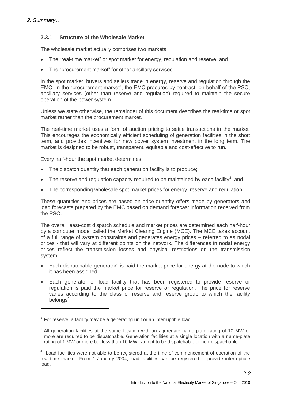-

# **2.3.1 Structure of the Wholesale Market**

The wholesale market actually comprises two markets:

- The "real-time market" or spot market for energy, regulation and reserve; and
- The "procurement market" for other ancillary services.

In the spot market, buyers and sellers trade in energy, reserve and regulation through the EMC. In the "procurement market", the EMC procures by contract, on behalf of the PSO, ancillary services (other than reserve and regulation) required to maintain the secure operation of the power system.

Unless we state otherwise, the remainder of this document describes the real-time or spot market rather than the procurement market.

The real-time market uses a form of auction pricing to settle transactions in the market. This encourages the economically efficient scheduling of generation facilities in the short term, and provides incentives for new power system investment in the long term. The market is designed to be robust, transparent, equitable and cost-effective to run.

Every half-hour the spot market determines:

- The dispatch quantity that each generation facility is to produce;
- The reserve and regulation capacity required to be maintained by each facility<sup>2</sup>; and
- The corresponding wholesale spot market prices for energy, reserve and regulation.

These quantities and prices are based on price-quantity offers made by generators and load forecasts prepared by the EMC based on demand forecast information received from the PSO.

The overall least-cost dispatch schedule and market prices are determined each half-hour by a computer model called the Market Clearing Engine (MCE). The MCE takes account of a full range of system constraints and generates energy prices – referred to as nodal prices - that will vary at different points on the network. The differences in nodal energy prices reflect the transmission losses and physical restrictions on the transmission system.

- Each dispatchable generator<sup>3</sup> is paid the market price for energy at the node to which it has been assigned.
- Each generator or load facility that has been registered to provide reserve or regulation is paid the market price for reserve or regulation. The price for reserve varies according to the class of reserve and reserve group to which the facility belongs<sup>4</sup>.

 $2$  For reserve, a facility may be a generating unit or an interruptible load.

 $3$  All generation facilities at the same location with an aggregate name-plate rating of 10 MW or more are required to be dispatchable. Generation facilities at a single location with a name-plate rating of 1 MW or more but less than 10 MW can opt to be dispatchable or non-dispatchable.

 $4$  Load facilities were not able to be registered at the time of commencement of operation of the real-time market. From 1 January 2004, load facilities can be registered to provide interruptible load.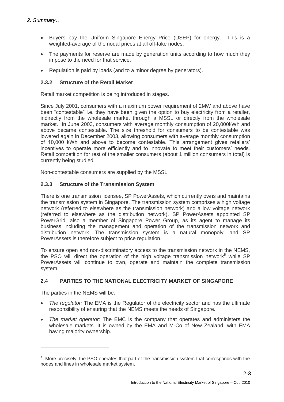- Buyers pay the Uniform Singapore Energy Price (USEP) for energy. This is a weighted-average of the nodal prices at all off-take nodes.
- The payments for reserve are made by generation units according to how much they impose to the need for that service.
- Regulation is paid by loads (and to a minor degree by generators).

## **2.3.2 Structure of the Retail Market**

Retail market competition is being introduced in stages.

Since July 2001, consumers with a maximum power requirement of 2MW and above have been "contestable" i.e. they have been given the option to buy electricity from a retailer, indirectly from the wholesale market through a MSSL or directly from the wholesale market. In June 2003, consumers with average monthly consumption of 20,000kWh and above became contestable. The size threshold for consumers to be contestable was lowered again in December 2003, allowing consumers with average monthly consumption of 10,000 kWh and above to become contestable. This arrangement gives retailers' incentives to operate more efficiently and to innovate to meet their customers' needs. Retail competition for rest of the smaller consumers (about 1 million consumers in total) is currently being studied.

Non-contestable consumers are supplied by the MSSL.

## **2.3.3 Structure of the Transmission System**

There is one transmission licensee, SP PowerAssets, which currently owns and maintains the transmission system in Singapore. The transmission system comprises a high voltage network (referred to elsewhere as the transmission network) and a low voltage network (referred to elsewhere as the distribution network). SP PowerAssets appointed SP PowerGrid, also a member of Singapore Power Group, as its agent to manage its business including the management and operation of the transmission network and distribution network. The transmission system is a natural monopoly, and SP PowerAssets is therefore subject to price regulation.

To ensure open and non-discriminatory access to the transmission network in the NEMS, the PSO will direct the operation of the high voltage transmission network<sup>5</sup> while SP PowerAssets will continue to own, operate and maintain the complete transmission system.

#### <span id="page-7-0"></span>**2.4 PARTIES TO THE NATIONAL ELECTRICITY MARKET OF SINGAPORE**

The parties in the NEMS will be:

1

- *The regulator:* The EMA is the Regulator of the electricity sector and has the ultimate responsibility of ensuring that the NEMS meets the needs of Singapore.
- *The market operator:* The EMC is the company that operates and administers the wholesale markets. It is owned by the EMA and M-Co of New Zealand, with EMA having majority ownership.

 $5$  More precisely, the PSO operates that part of the transmission system that corresponds with the nodes and lines in wholesale market system.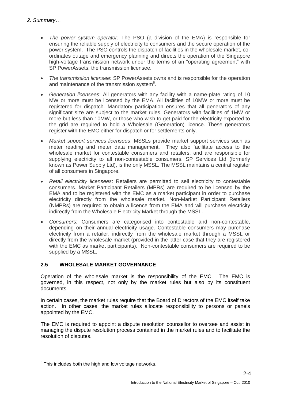## *2. Summary…*

- *The power system operator:* The PSO (a division of the EMA) is responsible for ensuring the reliable supply of electricity to consumers and the secure operation of the power system. The PSO controls the dispatch of facilities in the wholesale market, coordinates outage and emergency planning and directs the operation of the Singapore high-voltage transmission network under the terms of an "operating agreement" with SP PowerAssets, the transmission licensee.
- *The transmission licensee*: SP PowerAssets owns and is responsible for the operation and maintenance of the transmission system $6$ .
- *Generation licensees*: All generators with any facility with a name-plate rating of 10 MW or more must be licensed by the EMA. All facilities of 10MW or more must be registered for dispatch. Mandatory participation ensures that all generators of any significant size are subject to the market rules. Generators with facilities of 1MW or more but less than 10MW, or those who wish to get paid for the electricity exported to the grid are required to hold a Wholesale (Generation) licence. These generators register with the EMC either for dispatch or for settlements only.
- *Market support services licensees*: MSSLs provide market support services such as meter reading and meter data management. They also facilitate access to the wholesale market for contestable consumers and retailers, and are responsible for supplying electricity to all non-contestable consumers. SP Services Ltd (formerly known as Power Supply Ltd), is the only MSSL. The MSSL maintains a central register of all consumers in Singapore.
- *Retail electricity licensees*: Retailers are permitted to sell electricity to contestable consumers. Market Participant Retailers (MPRs) are required to be licensed by the EMA and to be registered with the EMC as a market participant in order to purchase electricity directly from the wholesale market. Non-Market Participant Retailers (NMPRs) are required to obtain a licence from the EMA and will purchase electricity indirectly from the Wholesale Electricity Market through the MSSL.
- *Consumers*: Consumers are categorised into contestable and non-contestable, depending on their annual electricity usage. Contestable consumers may purchase electricity from a retailer, indirectly from the wholesale market through a MSSL or directly from the wholesale market (provided in the latter case that they are registered with the EMC as market participants). Non-contestable consumers are required to be supplied by a MSSL.

# <span id="page-8-0"></span>**2.5 WHOLESALE MARKET GOVERNANCE**

Operation of the wholesale market is the responsibility of the EMC. The EMC is governed, in this respect, not only by the market rules but also by its constituent documents.

In certain cases, the market rules require that the Board of Directors of the EMC itself take action. In other cases, the market rules allocate responsibility to persons or panels appointed by the EMC.

The EMC is required to appoint a dispute resolution counsellor to oversee and assist in managing the dispute resolution process contained in the market rules and to facilitate the resolution of disputes.

1

 $6$  This includes both the high and low voltage networks.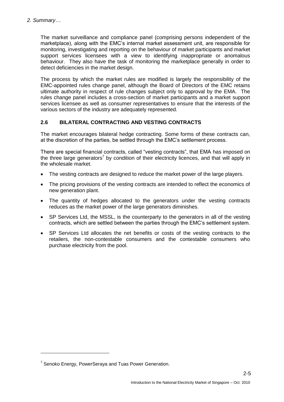The market surveillance and compliance panel (comprising persons independent of the marketplace), along with the EMC's internal market assessment unit, are responsible for monitoring, investigating and reporting on the behaviour of market participants and market support services licensees with a view to identifying inappropriate or anomalous behaviour. They also have the task of monitoring the marketplace generally in order to detect deficiencies in the market design.

The process by which the market rules are modified is largely the responsibility of the EMC-appointed rules change panel, although the Board of Directors of the EMC retains ultimate authority in respect of rule changes subject only to approval by the EMA. The rules change panel includes a cross-section of market participants and a market support services licensee as well as consumer representatives to ensure that the interests of the various sectors of the industry are adequately represented.

# <span id="page-9-0"></span>**2.6 BILATERAL CONTRACTING AND VESTING CONTRACTS**

The market encourages bilateral hedge contracting. Some forms of these contracts can, at the discretion of the parties, be settled through the EMC's settlement process.

There are special financial contracts, called "vesting contracts", that EMA has imposed on the three large generators<sup>7</sup> by condition of their electricity licences, and that will apply in the wholesale market.

- The vesting contracts are designed to reduce the market power of the large players.
- The pricing provisions of the vesting contracts are intended to reflect the economics of new generation plant.
- The quantity of hedges allocated to the generators under the vesting contracts reduces as the market power of the large generators diminishes.
- SP Services Ltd, the MSSL, is the counterparty to the generators in all of the vesting contracts, which are settled between the parties through the EMC's settlement system.
- SP Services Ltd allocates the net benefits or costs of the vesting contracts to the retailers, the non-contestable consumers and the contestable consumers who purchase electricity from the pool.

1

<sup>&</sup>lt;sup>7</sup> Senoko Energy, PowerSeraya and Tuas Power Generation.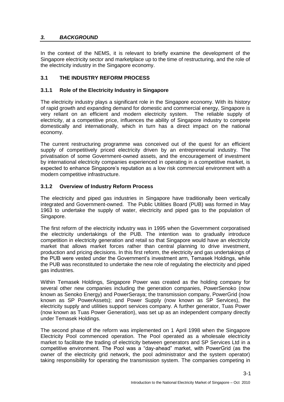## <span id="page-10-0"></span>*3. BACKGROUND*

In the context of the NEMS, it is relevant to briefly examine the development of the Singapore electricity sector and marketplace up to the time of restructuring, and the role of the electricity industry in the Singapore economy.

# <span id="page-10-1"></span>**3.1 THE INDUSTRY REFORM PROCESS**

## **3.1.1 Role of the Electricity Industry in Singapore**

The electricity industry plays a significant role in the Singapore economy. With its history of rapid growth and expanding demand for domestic and commercial energy, Singapore is very reliant on an efficient and modern electricity system. The reliable supply of electricity, at a competitive price, influences the ability of Singapore industry to compete domestically and internationally, which in turn has a direct impact on the national economy.

The current restructuring programme was conceived out of the quest for an efficient supply of competitively priced electricity driven by an entrepreneurial industry. The privatisation of some Government-owned assets, and the encouragement of investment by international electricity companies experienced in operating in a competitive market, is expected to enhance Singapore's reputation as a low risk commercial environment with a modern competitive infrastructure.

## **3.1.2 Overview of Industry Reform Process**

The electricity and piped gas industries in Singapore have traditionally been vertically integrated and Government-owned. The Public Utilities Board (PUB) was formed in May 1963 to undertake the supply of water, electricity and piped gas to the population of Singapore.

The first reform of the electricity industry was in 1995 when the Government corporatised the electricity undertakings of the PUB. The intention was to gradually introduce competition in electricity generation and retail so that Singapore would have an electricity market that allows market forces rather than central planning to drive investment, production and pricing decisions. In this first reform, the electricity and gas undertakings of the PUB were vested under the Government's investment arm, Temasek Holdings, while the PUB was reconstituted to undertake the new role of regulating the electricity and piped gas industries.

Within Temasek Holdings, Singapore Power was created as the holding company for several other new companies including the generation companies, PowerSenoko (now known as Senoko Energy) and PowerSeraya; the transmission company, PowerGrid (now known as SP PowerAssets); and Power Supply (now known as SP Services), the electricity supply and utilities support services company. A further generator, Tuas Power (now known as Tuas Power Generation), was set up as an independent company directly under Temasek Holdings.

The second phase of the reform was implemented on 1 April 1998 when the Singapore Electricity Pool commenced operation. The Pool operated as a wholesale electricity market to facilitate the trading of electricity between generators and SP Services Ltd in a competitive environment. The Pool was a "day-ahead" market, with PowerGrid (as the owner of the electricity grid network, the pool administrator and the system operator) taking responsibility for operating the transmission system. The companies competing in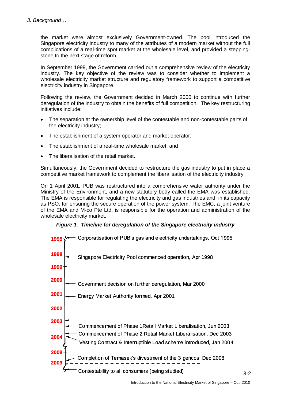the market were almost exclusively Government-owned. The pool introduced the Singapore electricity industry to many of the attributes of a modern market without the full complications of a real-time spot market at the wholesale level, and provided a steppingstone to the next stage of reform.

In September 1999, the Government carried out a comprehensive review of the electricity industry. The key objective of the review was to consider whether to implement a wholesale electricity market structure and regulatory framework to support a competitive electricity industry in Singapore.

Following the review, the Government decided in March 2000 to continue with further deregulation of the industry to obtain the benefits of full competition. The key restructuring initiatives include:

- The separation at the ownership level of the contestable and non-contestable parts of the electricity industry;
- The establishment of a system operator and market operator;
- The establishment of a real-time wholesale market; and
- The liberalisation of the retail market.

Simultaneously, the Government decided to restructure the gas industry to put in place a competitive market framework to complement the liberalisation of the electricity industry.

On 1 April 2001, PUB was restructured into a comprehensive water authority under the Ministry of the Environment, and a new statutory body called the EMA was established. The EMA is responsible for regulating the electricity and gas industries and, in its capacity as PSO, for ensuring the secure operation of the power system. The EMC, a joint venture of the EMA and M-co Pte Ltd, is responsible for the operation and administration of the wholesale electricity market.

# *Figure 1. Timeline for deregulation of the Singapore electricity industry*

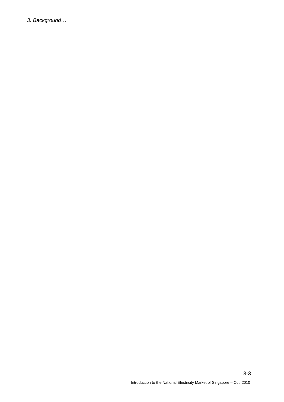*3. Background…*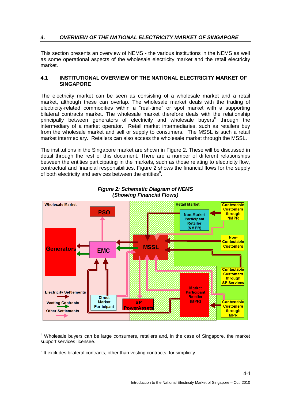## <span id="page-13-0"></span>*4. OVERVIEW OF THE NATIONAL ELECTRICITY MARKET OF SINGAPORE*

This section presents an overview of NEMS - the various institutions in the NEMS as well as some operational aspects of the wholesale electricity market and the retail electricity market.

#### <span id="page-13-1"></span>**4.1 INSTITUTIONAL OVERVIEW OF THE NATIONAL ELECTRICITY MARKET OF SINGAPORE**

The electricity market can be seen as consisting of a wholesale market and a retail market, although these can overlap. The wholesale market deals with the trading of electricity-related commodities within a "real-time" or spot market with a supporting bilateral contracts market. The wholesale market therefore deals with the relationship principally between generators of electricity and wholesale buyers<sup>8</sup> through the intermediary of a market operator. Retail market intermediaries, such as retailers buy from the wholesale market and sell or supply to consumers. The MSSL is such a retail market intermediary. Retailers can also access the wholesale market through the MSSL.

The institutions in the Singapore market are shown in [Figure 2.](#page-13-2) These will be discussed in detail through the rest of this document. There are a number of different relationships between the entities participating in the markets, such as those relating to electricity flow, contractual and financial responsibilities. [Figure 2](#page-13-2) shows the financial flows for the supply of both electricity and services between the entities<sup>9</sup>.

<span id="page-13-2"></span>

#### *Figure 2: Schematic Diagram of NEMS (Showing Financial Flows)*

<sup>8</sup> Wholesale buyers can be large consumers, retailers and, in the case of Singapore, the market support services licensee.

 $<sup>9</sup>$  It excludes bilateral contracts, other than vesting contracts, for simplicity.</sup>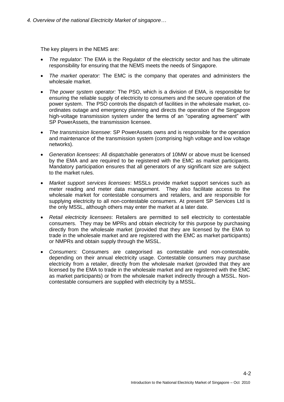*4. Overview of the national Electricity Market of singapore…*

The key players in the NEMS are:

- *The regulator:* The EMA is the Regulator of the electricity sector and has the ultimate responsibility for ensuring that the NEMS meets the needs of Singapore.
- *The market operator:* The EMC is the company that operates and administers the wholesale market.
- *The power system operator:* The PSO, which is a division of EMA, is responsible for ensuring the reliable supply of electricity to consumers and the secure operation of the power system. The PSO controls the dispatch of facilities in the wholesale market, coordinates outage and emergency planning and directs the operation of the Singapore high-voltage transmission system under the terms of an "operating agreement" with SP PowerAssets, the transmission licensee.
- *The transmission licensee*: SP PowerAssets owns and is responsible for the operation and maintenance of the transmission system (comprising high voltage and low voltage networks).
- *Generation licensees*: All dispatchable generators of 10MW or above must be licensed by the EMA and are required to be registered with the EMC as market participants. Mandatory participation ensures that all generators of any significant size are subject to the market rules.
- *Market support services licensees*: MSSLs provide market support services such as meter reading and meter data management. They also facilitate access to the wholesale market for contestable consumers and retailers, and are responsible for supplying electricity to all non-contestable consumers. At present SP Services Ltd is the only MSSL, although others may enter the market at a later date.
- *Retail electricity licensees*: Retailers are permitted to sell electricity to contestable consumers. They may be MPRs and obtain electricity for this purpose by purchasing directly from the wholesale market (provided that they are licensed by the EMA to trade in the wholesale market and are registered with the EMC as market participants) or NMPRs and obtain supply through the MSSL.
- *Consumers*: Consumers are categorised as contestable and non-contestable, depending on their annual electricity usage. Contestable consumers may purchase electricity from a retailer, directly from the wholesale market (provided that they are licensed by the EMA to trade in the wholesale market and are registered with the EMC as market participants) or from the wholesale market indirectly through a MSSL. Noncontestable consumers are supplied with electricity by a MSSL.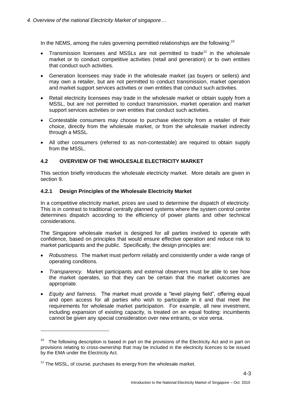In the NEMS, among the rules governing permitted relationships are the following:<sup>10</sup>

- Transmission licensees and MSSLs are not permitted to trade<sup>11</sup> in the wholesale market or to conduct competitive activities (retail and generation) or to own entities that conduct such activities.
- Generation licensees may trade in the wholesale market (as buyers or sellers) and may own a retailer, but are not permitted to conduct transmission, market operation and market support services activities or own entities that conduct such activities.
- Retail electricity licensees may trade in the wholesale market or obtain supply from a MSSL, but are not permitted to conduct transmission, market operation and market support services activities or own entities that conduct such activities.
- Contestable consumers may choose to purchase electricity from a retailer of their choice, directly from the wholesale market, or from the wholesale market indirectly through a MSSL.
- All other consumers (referred to as non-contestable) are required to obtain supply from the MSSL.

# <span id="page-15-0"></span>**4.2 OVERVIEW OF THE WHOLESALE ELECTRICITY MARKET**

This section briefly introduces the wholesale electricity market. More details are given in section 9.

## **4.2.1 Design Principles of the Wholesale Electricity Market**

In a competitive electricity market, prices are used to determine the dispatch of electricity. This is in contrast to traditional centrally planned systems where the system control centre determines dispatch according to the efficiency of power plants and other technical considerations.

The Singapore wholesale market is designed for all parties involved to operate with confidence, based on principles that would ensure effective operation and reduce risk to market participants and the public. Specifically, the design principles are:

- *Robustness.* The market must perform reliably and consistently under a wide range of operating conditions.
- *Transparency.* Market participants and external observers must be able to see how the market operates, so that they can be certain that the market outcomes are appropriate.
- *Equity and fairness.* The market must provide a "level playing field", offering equal and open access for all parties who wish to participate in it and that meet the requirements for wholesale market participation. For example, all new investment, including expansion of existing capacity, is treated on an equal footing: incumbents cannot be given any special consideration over new entrants, or vice versa.

1

<sup>10</sup> The following description is based in part on the provisions of the Electricity Act and in part on provisions relating to cross-ownership that may be included in the electricity licences to be issued by the EMA under the Electricity Act.

 $11$  The MSSL, of course, purchases its energy from the wholesale market.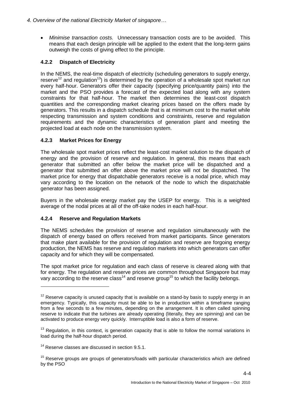*Minimise transaction costs.* Unnecessary transaction costs are to be avoided. This means that each design principle will be applied to the extent that the long-term gains outweigh the costs of giving effect to the principle.

# **4.2.2 Dispatch of Electricity**

In the NEMS, the real-time dispatch of electricity (scheduling generators to supply energy, reserve<sup>12</sup> and regulation<sup>13</sup>) is determined by the operation of a wholesale spot market run every half-hour. Generators offer their capacity (specifying price/quantity pairs) into the market and the PSO provides a forecast of the expected load along with any system constraints for that half-hour. The market then determines the least-cost dispatch quantities and the corresponding market clearing prices based on the offers made by generators. This results in a dispatch schedule that is at minimum cost to the market while respecting transmission and system conditions and constraints, reserve and regulation requirements and the dynamic characteristics of generation plant and meeting the projected load at each node on the transmission system.

## **4.2.3 Market Prices for Energy**

The wholesale spot market prices reflect the least-cost market solution to the dispatch of energy and the provision of reserve and regulation. In general, this means that each generator that submitted an offer below the market price will be dispatched and a generator that submitted an offer above the market price will not be dispatched. The market price for energy that dispatchable generators receive is a nodal price, which may vary according to the location on the network of the node to which the dispatchable generator has been assigned.

Buyers in the wholesale energy market pay the USEP for energy. This is a weighted average of the nodal prices at all of the off-take nodes in each half-hour.

# **4.2.4 Reserve and Regulation Markets**

1

The NEMS schedules the provision of reserve and regulation simultaneously with the dispatch of energy based on offers received from market participants. Since generators that make plant available for the provision of regulation and reserve are forgoing energy production, the NEMS has reserve and regulation markets into which generators can offer capacity and for which they will be compensated.

The spot market price for regulation and each class of reserve is cleared along with that for energy. The regulation and reserve prices are common throughout Singapore but may vary according to the reserve class<sup>14</sup> and reserve group<sup>15</sup> to which the facility belongs.

 $12$  Reserve capacity is unused capacity that is available on a stand-by basis to supply energy in an emergency. Typically, this capacity must be able to be in production within a timeframe ranging from a few seconds to a few minutes, depending on the arrangement. It is often called spinning reserve to indicate that the turbines are already operating (literally, they are spinning) and can be activated to produce energy very quickly. Interruptible load is also a form of reserve.

 $13$  Regulation, in this context, is generation capacity that is able to follow the normal variations in load during the half-hour dispatch period.

<sup>&</sup>lt;sup>14</sup> Reserve classes are discussed in section [9.5.1.](#page-46-1)

 $15$  Reserve groups are groups of generators/loads with particular characteristics which are defined by the PSO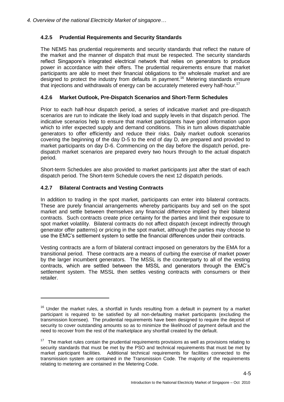# **4.2.5 Prudential Requirements and Security Standards**

The NEMS has prudential requirements and security standards that reflect the nature of the market and the manner of dispatch that must be respected. The security standards reflect Singapore's integrated electrical network that relies on generators to produce power in accordance with their offers. The prudential requirements ensure that market participants are able to meet their financial obligations to the wholesale market and are designed to protect the industry from defaults in payment.<sup>16</sup> Metering standards ensure that injections and withdrawals of energy can be accurately metered every half-hour.<sup>17</sup>

# **4.2.6 Market Outlook, Pre-Dispatch Scenarios and Short-Term Schedules**

Prior to each half-hour dispatch period, a series of indicative market and pre-dispatch scenarios are run to indicate the likely load and supply levels in that dispatch period. The indicative scenarios help to ensure that market participants have good information upon which to infer expected supply and demand conditions. This in turn allows dispatchable generators to offer efficiently and reduce their risks. Daily market outlook scenarios covering the beginning of the day D-5 to the end of day D, are prepared and provided to market participants on day D-6. Commencing on the day before the dispatch period, predispatch market scenarios are prepared every two hours through to the actual dispatch period.

Short-term Schedules are also provided to market participants just after the start of each dispatch period. The Short-term Schedule covers the next 12 dispatch periods.

# **4.2.7 Bilateral Contracts and Vesting Contracts**

1

In addition to trading in the spot market, participants can enter into bilateral contracts. These are purely financial arrangements whereby participants buy and sell on the spot market and settle between themselves any financial difference implied by their bilateral contracts. Such contracts create price certainty for the parties and limit their exposure to spot market volatility. Bilateral contracts do not affect dispatch (except indirectly through generator offer patterns) or pricing in the spot market, although the parties may choose to use the EMC's settlement system to settle the financial differences under their contracts.

Vesting contracts are a form of bilateral contract imposed on generators by the EMA for a transitional period. These contracts are a means of curbing the exercise of market power by the larger incumbent generators. The MSSL is the counterparty to all of the vesting contracts, which are settled between the MSSL and generators through the EMC's settlement system. The MSSL then settles vesting contracts with consumers or their retailer.

 $16$  Under the market rules, a shortfall in funds resulting from a default in payment by a market participant is required to be satisfied by all non-defaulting market participants (excluding the transmission licensee). The prudential requirements have been designed to require the deposit of security to cover outstanding amounts so as to minimize the likelihood of payment default and the need to recover from the rest of the marketplace any shortfall created by the default.

<sup>17</sup> The market rules contain the prudential requirements provisions as well as provisions relating to security standards that must be met by the PSO and technical requirements that must be met by market participant facilities. Additional technical requirements for facilities connected to the transmission system are contained in the Transmission Code. The majority of the requirements relating to metering are contained in the Metering Code.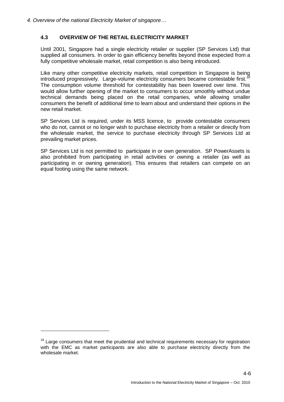# <span id="page-18-0"></span>**4.3 OVERVIEW OF THE RETAIL ELECTRICITY MARKET**

Until 2001, Singapore had a single electricity retailer or supplier (SP Services Ltd) that supplied all consumers. In order to gain efficiency benefits beyond those expected from a fully competitive wholesale market, retail competition is also being introduced.

Like many other competitive electricity markets, retail competition in Singapore is being introduced progressively. Large-volume electricity consumers became contestable first.<sup>1</sup> The consumption volume threshold for contestability has been lowered over time. This would allow further opening of the market to consumers to occur smoothly without undue technical demands being placed on the retail companies, while allowing smaller consumers the benefit of additional time to learn about and understand their options in the new retail market.

SP Services Ltd is required, under its MSS licence, to provide contestable consumers who do not, cannot or no longer wish to purchase electricity from a retailer or directly from the wholesale market, the service to purchase electricity through SP Services Ltd at prevailing market prices.

SP Services Ltd is not permitted to participate in or own generation. SP PowerAssets is also prohibited from participating in retail activities or owning a retailer (as well as participating in or owning generation). This ensures that retailers can compete on an equal footing using the same network.

1

<sup>&</sup>lt;sup>18</sup> Large consumers that meet the prudential and technical requirements necessary for registration with the EMC as market participants are also able to purchase electricity directly from the wholesale market.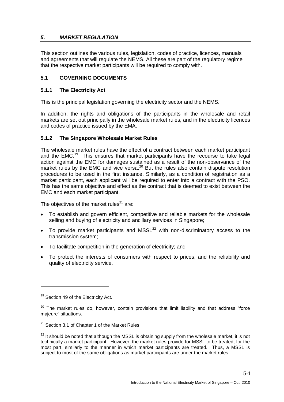## <span id="page-19-0"></span>*5. MARKET REGULATION*

This section outlines the various rules, legislation, codes of practice, licences, manuals and agreements that will regulate the NEMS. All these are part of the regulatory regime that the respective market participants will be required to comply with.

## <span id="page-19-1"></span>**5.1 GOVERNING DOCUMENTS**

#### **5.1.1 The Electricity Act**

This is the principal legislation governing the electricity sector and the NEMS.

In addition, the rights and obligations of the participants in the wholesale and retail markets are set out principally in the wholesale market rules, and in the electricity licences and codes of practice issued by the EMA.

## **5.1.2 The Singapore Wholesale Market Rules**

The wholesale market rules have the effect of a contract between each market participant and the EMC.<sup>19</sup> This ensures that market participants have the recourse to take legal action against the EMC for damages sustained as a result of the non-observance of the market rules by the EMC and vice versa.<sup>20</sup> But the rules also contain dispute resolution procedures to be used in the first instance. Similarly, as a condition of registration as a market participant, each applicant will be required to enter into a contract with the PSO. This has the same objective and effect as the contract that is deemed to exist between the EMC and each market participant.

The objectives of the market rules<sup>21</sup> are:

- To establish and govern efficient, competitive and reliable markets for the wholesale selling and buying of electricity and ancillary services in Singapore;
- $\bullet$  To provide market participants and MSSL<sup>22</sup> with non-discriminatory access to the transmission system;
- To facilitate competition in the generation of electricity; and
- To protect the interests of consumers with respect to prices, and the reliability and quality of electricity service.

-

<sup>&</sup>lt;sup>19</sup> Section 49 of the Electricity Act.

 $20$  The market rules do, however, contain provisions that limit liability and that address "force majeure" situations.

 $21$  Section 3.1 of Chapter 1 of the Market Rules.

 $22$  It should be noted that although the MSSL is obtaining supply from the wholesale market, it is not technically a market participant. However, the market rules provide for MSSL to be treated, for the most part, similarly to the manner in which market participants are treated. Thus, a MSSL is subject to most of the same obligations as market participants are under the market rules.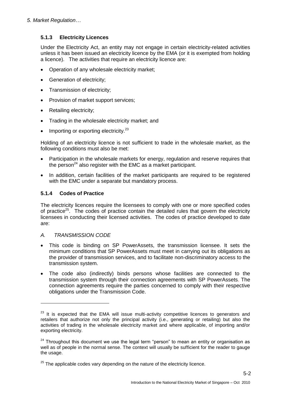# **5.1.3 Electricity Licences**

Under the Electricity Act, an entity may not engage in certain electricity-related activities unless it has been issued an electricity licence by the EMA (or it is exempted from holding a licence). The activities that require an electricity licence are:

- Operation of any wholesale electricity market;
- Generation of electricity;
- Transmission of electricity;
- Provision of market support services;
- Retailing electricity;
- Trading in the wholesale electricity market; and
- Importing or exporting electricity.<sup>23</sup>

Holding of an electricity licence is not sufficient to trade in the wholesale market, as the following conditions must also be met:

- Participation in the wholesale markets for energy, regulation and reserve requires that the person<sup>24</sup> also register with the EMC as a market participant.
- In addition, certain facilities of the market participants are required to be registered with the EMC under a separate but mandatory process.

# **5.1.4 Codes of Practice**

The electricity licences require the licensees to comply with one or more specified codes of practice<sup>25</sup>. The codes of practice contain the detailed rules that govern the electricity licensees in conducting their licensed activities. The codes of practice developed to date are:

# *A. TRANSMISSION CODE*

1

- This code is binding on SP PowerAssets, the transmission licensee. It sets the minimum conditions that SP PowerAssets must meet in carrying out its obligations as the provider of transmission services, and to facilitate non-discriminatory access to the transmission system.
- The code also (indirectly) binds persons whose facilities are connected to the transmission system through their connection agreements with SP PowerAssets. The connection agreements require the parties concerned to comply with their respective obligations under the Transmission Code.

<sup>&</sup>lt;sup>23</sup> It is expected that the EMA will issue multi-activity competitive licences to generators and retailers that authorize not only the principal activity (i.e., generating or retailing) but also the activities of trading in the wholesale electricity market and where applicable, of importing and/or exporting electricity.

 $24$  Throughout this document we use the legal term "person" to mean an entity or organisation as well as of people in the normal sense. The context will usually be sufficient for the reader to gauge the usage.

 $25$  The applicable codes vary depending on the nature of the electricity licence.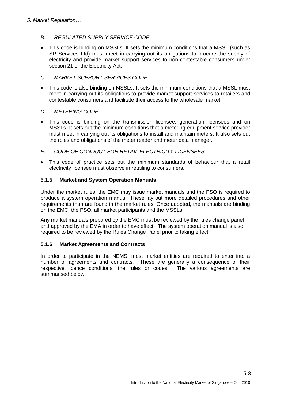## *B. REGULATED SUPPLY SERVICE CODE*

 This code is binding on MSSLs. It sets the minimum conditions that a MSSL (such as SP Services Ltd) must meet in carrying out its obligations to procure the supply of electricity and provide market support services to non-contestable consumers under section 21 of the Electricity Act.

## *C. MARKET SUPPORT SERVICES CODE*

 This code is also binding on MSSLs. It sets the minimum conditions that a MSSL must meet in carrying out its obligations to provide market support services to retailers and contestable consumers and facilitate their access to the wholesale market.

## *D. METERING CODE*

- This code is binding on the transmission licensee, generation licensees and on MSSLs. It sets out the minimum conditions that a metering equipment service provider must meet in carrying out its obligations to install and maintain meters. It also sets out the roles and obligations of the meter reader and meter data manager.
- *E. CODE OF CONDUCT FOR RETAIL ELECTRICITY LICENSEES*
- This code of practice sets out the minimum standards of behaviour that a retail electricity licensee must observe in retailing to consumers.

## **5.1.5 Market and System Operation Manuals**

Under the market rules, the EMC may issue market manuals and the PSO is required to produce a system operation manual. These lay out more detailed procedures and other requirements than are found in the market rules. Once adopted, the manuals are binding on the EMC, the PSO, all market participants and the MSSLs.

Any market manuals prepared by the EMC must be reviewed by the rules change panel and approved by the EMA in order to have effect. The system operation manual is also required to be reviewed by the Rules Change Panel prior to taking effect.

#### **5.1.6 Market Agreements and Contracts**

In order to participate in the NEMS, most market entities are required to enter into a number of agreements and contracts. These are generally a consequence of their respective licence conditions, the rules or codes. The various agreements are summarised below.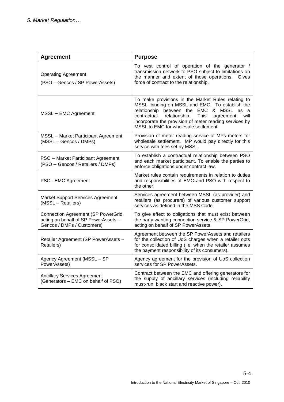| <b>Agreement</b>                                                                                          | <b>Purpose</b>                                                                                                                                                                                                                                                                                                           |  |  |  |
|-----------------------------------------------------------------------------------------------------------|--------------------------------------------------------------------------------------------------------------------------------------------------------------------------------------------------------------------------------------------------------------------------------------------------------------------------|--|--|--|
| <b>Operating Agreement</b><br>(PSO - Gencos / SP PowerAssets)                                             | To vest control of operation of the generator /<br>transmission network to PSO subject to limitations on<br>the manner and extent of those operations.<br>Gives<br>force of contract to the relationship.                                                                                                                |  |  |  |
| MSSL - EMC Agreement                                                                                      | To make provisions in the Market Rules relating to<br>MSSL, binding on MSSL and EMC. To establish the<br>relationship between the EMC & MSSL as a<br>relationship.<br>contractual<br><b>This</b><br>agreement<br>will<br>incorporate the provision of meter reading services by<br>MSSL to EMC for wholesale settlement. |  |  |  |
| MSSL - Market Participant Agreement<br>(MSSL - Gencos / DMPs)                                             | Provision of meter reading service of MPs meters for<br>wholesale settlement. MP would pay directly for this<br>service with fees set by MSSL.                                                                                                                                                                           |  |  |  |
| PSO - Market Participant Agreement<br>(PSO - Gencos / Retailers / DMPs)                                   | To establish a contractual relationship between PSO<br>and each market participant. To enable the parties to<br>enforce obligations under contract law.                                                                                                                                                                  |  |  |  |
| PSO-EMC Agreement                                                                                         | Market rules contain requirements in relation to duties<br>and responsibilities of EMC and PSO with respect to<br>the other.                                                                                                                                                                                             |  |  |  |
| <b>Market Support Services Agreement</b><br>(MSSL - Retailers)                                            | Services agreement between MSSL (as provider) and<br>retailers (as procurers) of various customer support<br>services as defined in the MSS Code.                                                                                                                                                                        |  |  |  |
| Connection Agreement (SP PowerGrid,<br>acting on behalf of SP PowerAssets -<br>Gencos / DMPs / Customers) | To give effect to obligations that must exist between<br>the party wanting connection service & SP PowerGrid,<br>acting on behalf of SP PowerAssets.                                                                                                                                                                     |  |  |  |
| Retailer Agreement (SP PowerAssets -<br>Retailers)                                                        | Agreement between the SP PowerAssets and retailers<br>for the collection of UoS charges when a retailer opts<br>for consolidated billing (i.e. when the retailer assumes<br>the payment responsibility of its consumers).                                                                                                |  |  |  |
| Agency Agreement (MSSL - SP<br>PowerAssets)                                                               | Agency agreement for the provision of UoS collection<br>services for SP PowerAssets.                                                                                                                                                                                                                                     |  |  |  |
| <b>Ancillary Services Agreement</b><br>(Generators - EMC on behalf of PSO)                                | Contract between the EMC and offering generators for<br>the supply of ancillary services (including reliability<br>must-run, black start and reactive power).                                                                                                                                                            |  |  |  |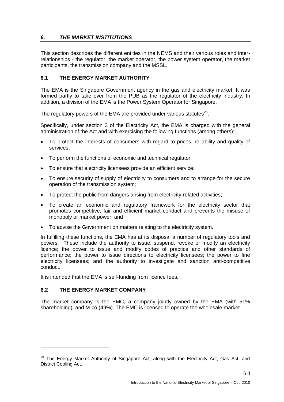## <span id="page-23-0"></span>*6. THE MARKET INSTITUTIONS*

This section describes the different entities in the NEMS and their various roles and interrelationships - the regulator, the market operator, the power system operator, the market participants, the transmission company and the MSSL.

## <span id="page-23-1"></span>**6.1 THE ENERGY MARKET AUTHORITY**

The EMA is the Singapore Government agency in the gas and electricity market. It was formed partly to take over from the PUB as the regulator of the electricity industry. In addition, a division of the EMA is the Power System Operator for Singapore.

The regulatory powers of the EMA are provided under various statutes $^{26}$ .

Specifically, under section 3 of the Electricity Act, the EMA is charged with the general administration of the Act and with exercising the following functions (among others):

- To protect the interests of consumers with regard to prices, reliability and quality of services;
- To perform the functions of economic and technical regulator;
- To ensure that electricity licensees provide an efficient service;
- To ensure security of supply of electricity to consumers and to arrange for the secure operation of the transmission system;
- To protect the public from dangers arising from electricity-related activities;
- To create an economic and regulatory framework for the electricity sector that promotes competitive, fair and efficient market conduct and prevents the misuse of monopoly or market power; and
- To advise the Government on matters relating to the electricity system.

In fulfilling these functions, the EMA has at its disposal a number of regulatory tools and powers. These include the authority to issue, suspend, revoke or modify an electricity licence; the power to issue and modify codes of practice and other standards of performance; the power to issue directions to electricity licensees; the power to fine electricity licensees; and the authority to investigate and sanction anti-competitive conduct.

<span id="page-23-2"></span>It is intended that the EMA is self-funding from licence fees.

#### **6.2 THE ENERGY MARKET COMPANY**

1

The market company is the EMC, a company jointly owned by the EMA (with 51% shareholding), and M-co (49%). The EMC is licensed to operate the wholesale market.

 $26$  The Energy Market Authority of Singapore Act, along with the Electricity Act, Gas Act, and District Cooling Act.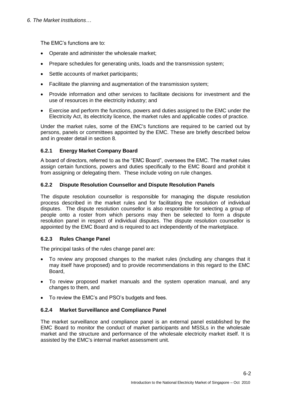The EMC's functions are to:

- Operate and administer the wholesale market;
- Prepare schedules for generating units, loads and the transmission system;
- Settle accounts of market participants;
- Facilitate the planning and augmentation of the transmission system;
- Provide information and other services to facilitate decisions for investment and the use of resources in the electricity industry; and
- Exercise and perform the functions, powers and duties assigned to the EMC under the Electricity Act, its electricity licence, the market rules and applicable codes of practice.

Under the market rules, some of the EMC's functions are required to be carried out by persons, panels or committees appointed by the EMC. These are briefly described below and in greater detail in section 8.

#### **6.2.1 Energy Market Company Board**

A board of directors, referred to as the "EMC Board", oversees the EMC. The market rules assign certain functions, powers and duties specifically to the EMC Board and prohibit it from assigning or delegating them. These include voting on rule changes.

#### **6.2.2 Dispute Resolution Counsellor and Dispute Resolution Panels**

The dispute resolution counsellor is responsible for managing the dispute resolution process described in the market rules and for facilitating the resolution of individual disputes. The dispute resolution counsellor is also responsible for selecting a group of people onto a roster from which persons may then be selected to form a dispute resolution panel in respect of individual disputes. The dispute resolution counsellor is appointed by the EMC Board and is required to act independently of the marketplace.

#### **6.2.3 Rules Change Panel**

The principal tasks of the rules change panel are:

- To review any proposed changes to the market rules (including any changes that it may itself have proposed) and to provide recommendations in this regard to the EMC Board,
- To review proposed market manuals and the system operation manual, and any changes to them, and
- To review the EMC's and PSO's budgets and fees.

#### **6.2.4 Market Surveillance and Compliance Panel**

The market surveillance and compliance panel is an external panel established by the EMC Board to monitor the conduct of market participants and MSSLs in the wholesale market and the structure and performance of the wholesale electricity market itself. It is assisted by the EMC's internal market assessment unit.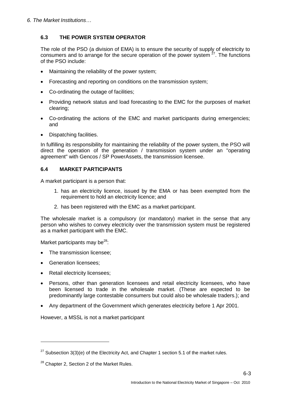# <span id="page-25-0"></span>**6.3 THE POWER SYSTEM OPERATOR**

The role of the PSO (a division of EMA) is to ensure the security of supply of electricity to consumers and to arrange for the secure operation of the power system  $27$ . The functions of the PSO include:

- Maintaining the reliability of the power system;
- Forecasting and reporting on conditions on the transmission system;
- Co-ordinating the outage of facilities;
- Providing network status and load forecasting to the EMC for the purposes of market clearing;
- Co-ordinating the actions of the EMC and market participants during emergencies; and
- Dispatching facilities.

In fulfilling its responsibility for maintaining the reliability of the power system, the PSO will direct the operation of the generation / transmission system under an "operating agreement" with Gencos / SP PowerAssets, the transmission licensee.

## <span id="page-25-1"></span>**6.4 MARKET PARTICIPANTS**

A market participant is a person that:

- 1. has an electricity licence, issued by the EMA or has been exempted from the requirement to hold an electricity licence; and
- 2. has been registered with the EMC as a market participant.

The wholesale market is a compulsory (or mandatory) market in the sense that any person who wishes to convey electricity over the transmission system must be registered as a market participant with the EMC.

Market participants may be $^{28}$ :

- The transmission licensee;
- Generation licensees;

1

- Retail electricity licensees;
- Persons, other than generation licensees and retail electricity licensees, who have been licensed to trade in the wholesale market. (These are expected to be predominantly large contestable consumers but could also be wholesale traders.); and
- Any department of the Government which generates electricity before 1 Apr 2001.

However, a MSSL is not a market participant

<sup>&</sup>lt;sup>27</sup> Subsection 3(3)(e) of the Electricity Act, and Chapter 1 section 5.1 of the market rules.

<sup>&</sup>lt;sup>28</sup> Chapter 2, Section 2 of the Market Rules.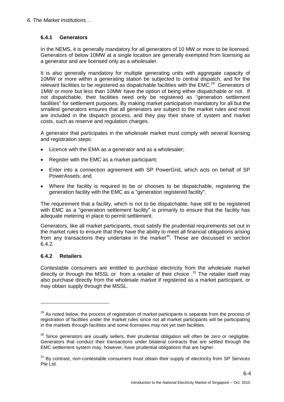# **6.4.1 Generators**

In the NEMS, it is generally mandatory for all generators of 10 MW or more to be licensed. Generators of below 10MW at a single location are generally exempted from licensing as a generator and are licensed only as a wholesaler.

It is also generally mandatory for multiple generating units with aggregate capacity of 10MW or more within a generating station be subjected to central dispatch, and for the relevant facilities to be registered as dispatchable facilities with the  $EMC<sup>29</sup>$  Generators of 1MW or more but less than 10MW have the option of being either dispatchable or not. If not dispatchable, their facilities need only be registered as "generation settlement facilities" for settlement purposes. By making market participation mandatory for all but the smallest generators ensures that all generators are subject to the market rules and most are included in the dispatch process, and they pay their share of system and market costs, such as reserve and regulation charges.

A generator that participates in the wholesale market must comply with several licensing and registration steps:

- Licence with the EMA as a generator and as a wholesaler;
- Register with the EMC as a market participant;
- Enter into a connection agreement with SP PowerGrid, which acts on behalf of SP PowerAssets; and
- Where the facility is required to be or chooses to be dispatchable, registering the generation facility with the EMC as a "generation registered facility".

The requirement that a facility, which is not to be dispatchable, have still to be registered with EMC as a "generation settlement facility" is primarily to ensure that the facility has adequate metering in place to permit settlement.

Generators, like all market participants, must satisfy the prudential requirements set out in the market rules to ensure that they have the ability to meet all financial obligations arising from any transactions they undertake in the market<sup>30</sup>. These are discussed in section [6.4.2.](#page-26-0)

# <span id="page-26-0"></span>**6.4.2 Retailers**

1

Contestable consumers are entitled to purchase electricity from the wholesale market directly or through the MSSL or from a retailer of their choice  $.31$  The retailer itself may also purchase directly from the wholesale market if registered as a market participant, or may obtain supply through the MSSL.

<sup>&</sup>lt;sup>29</sup> As noted below, the process of registration of market participants is separate from the process of registration of facilities under the market rules since not all market participants will be participating in the markets through facilities and some licensees may not yet own facilities.

<sup>&</sup>lt;sup>30</sup> Since generators are usually sellers, their prudential obligation will often be zero or negligible. Generators that conduct their transactions under bilateral contracts that are settled through the EMC settlement system may, however, have prudential obligations that are higher.

 $31$  By contrast, non-contestable consumers must obtain their supply of electricity from SP Services Pte Ltd.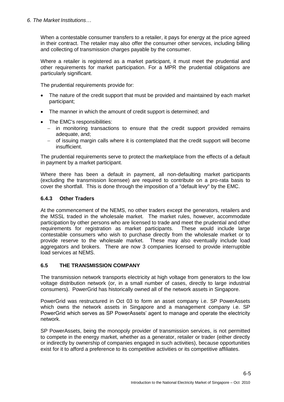When a contestable consumer transfers to a retailer, it pays for energy at the price agreed in their contract. The retailer may also offer the consumer other services, including billing and collecting of transmission charges payable by the consumer.

Where a retailer is registered as a market participant, it must meet the prudential and other requirements for market participation. For a MPR the prudential obligations are particularly significant.

The prudential requirements provide for:

- The nature of the credit support that must be provided and maintained by each market participant;
- The manner in which the amount of credit support is determined; and
- The EMC's responsibilities:
	- in monitoring transactions to ensure that the credit support provided remains adequate, and;
	- of issuing margin calls where it is contemplated that the credit support will become insufficient.

The prudential requirements serve to protect the marketplace from the effects of a default in payment by a market participant.

Where there has been a default in payment, all non-defaulting market participants (excluding the transmission licensee) are required to contribute on a pro-rata basis to cover the shortfall. This is done through the imposition of a "default levy" by the EMC.

#### **6.4.3 Other Traders**

At the commencement of the NEMS, no other traders except the generators, retailers and the MSSL traded in the wholesale market. The market rules, however, accommodate participation by other persons who are licensed to trade and meet the prudential and other requirements for registration as market participants. These would include large contestable consumers who wish to purchase directly from the wholesale market or to provide reserve to the wholesale market. These may also eventually include load aggregators and brokers. There are now 3 companies licensed to provide interruptible load services at NEMS.

#### <span id="page-27-0"></span>**6.5 THE TRANSMISSION COMPANY**

The transmission network transports electricity at high voltage from generators to the low voltage distribution network (or, in a small number of cases, directly to large industrial consumers). PowerGrid has historically owned all of the network assets in Singapore.

PowerGrid was restructured in Oct 03 to form an asset company i.e. SP PowerAssets which owns the network assets in Singapore and a management company i.e. SP PowerGrid which serves as SP PowerAssets' agent to manage and operate the electricity network.

SP PowerAssets, being the monopoly provider of transmission services, is not permitted to compete in the energy market, whether as a generator, retailer or trader (either directly or indirectly by ownership of companies engaged in such activities), because opportunities exist for it to afford a preference to its competitive activities or its competitive affiliates.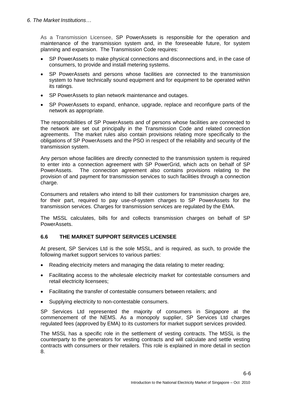As a Transmission Licensee, SP PowerAssets is responsible for the operation and maintenance of the transmission system and, in the foreseeable future, for system planning and expansion. The Transmission Code requires:

- SP PowerAssets to make physical connections and disconnections and, in the case of consumers, to provide and install metering systems.
- SP PowerAssets and persons whose facilities are connected to the transmission system to have technically sound equipment and for equipment to be operated within its ratings.
- SP PowerAssets to plan network maintenance and outages.
- SP PowerAssets to expand, enhance, upgrade, replace and reconfigure parts of the network as appropriate.

The responsibilities of SP PowerAssets and of persons whose facilities are connected to the network are set out principally in the Transmission Code and related connection agreements. The market rules also contain provisions relating more specifically to the obligations of SP PowerAssets and the PSO in respect of the reliability and security of the transmission system.

Any person whose facilities are directly connected to the transmission system is required to enter into a connection agreement with SP PowerGrid, which acts on behalf of SP PowerAssets. The connection agreement also contains provisions relating to the provision of and payment for transmission services to such facilities through a connection charge.

Consumers and retailers who intend to bill their customers for transmission charges are, for their part, required to pay use-of-system charges to SP PowerAssets for the transmission services. Charges for transmission services are regulated by the EMA.

The MSSL calculates, bills for and collects transmission charges on behalf of SP PowerAssets.

# <span id="page-28-0"></span>**6.6 THE MARKET SUPPORT SERVICES LICENSEE**

At present, SP Services Ltd is the sole MSSL, and is required, as such, to provide the following market support services to various parties:

- Reading electricity meters and managing the data relating to meter reading;
- Facilitating access to the wholesale electricity market for contestable consumers and retail electricity licensees;
- Facilitating the transfer of contestable consumers between retailers; and
- Supplying electricity to non-contestable consumers.

SP Services Ltd represented the majority of consumers in Singapore at the commencement of the NEMS. As a monopoly supplier, SP Services Ltd charges regulated fees (approved by EMA) to its customers for market support services provided.

The MSSL has a specific role in the settlement of vesting contracts. The MSSL is the counterparty to the generators for vesting contracts and will calculate and settle vesting contracts with consumers or their retailers. This role is explained in more detail in section [8.](#page-36-0)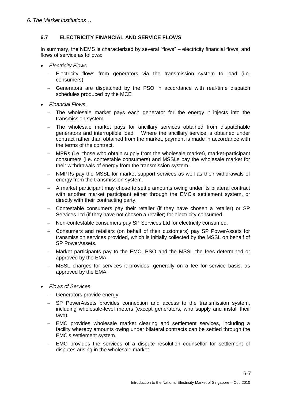## <span id="page-29-0"></span>**6.7 ELECTRICITY FINANCIAL AND SERVICE FLOWS**

In summary, the NEMS is characterized by several "flows" – electricity financial flows, and flows of service as follows:

- *Electricity Flows.* 
	- Electricity flows from generators via the transmission system to load (i.e. consumers)
	- Generators are dispatched by the PSO in accordance with real-time dispatch schedules produced by the MCE
- *Financial Flows*.
	- The wholesale market pays each generator for the energy it injects into the transmission system.
	- The wholesale market pays for ancillary services obtained from dispatchable generators and interruptible load. Where the ancillary service is obtained under contract rather than obtained from the market, payment is made in accordance with the terms of the contract.
	- MPRs (i.e. those who obtain supply from the wholesale market), market-participant consumers (i.e. contestable consumers) and MSSLs pay the wholesale market for their withdrawals of energy from the transmission system.
	- NMPRs pay the MSSL for market support services as well as their withdrawals of energy from the transmission system.
	- A market participant may chose to settle amounts owing under its bilateral contract with another market participant either through the EMC's settlement system, or directly with their contracting party.
	- Contestable consumers pay their retailer (if they have chosen a retailer) or SP Services Ltd (if they have not chosen a retailer) for electricity consumed.
	- Non-contestable consumers pay SP Services Ltd for electricity consumed.
	- Consumers and retailers (on behalf of their customers) pay SP PowerAssets for transmission services provided, which is initially collected by the MSSL on behalf of SP PowerAssets.
	- Market participants pay to the EMC, PSO and the MSSL the fees determined or approved by the EMA.
	- MSSL charges for services it provides, generally on a fee for service basis, as approved by the EMA.
- *Flows of Services*
	- Generators provide energy
	- SP PowerAssets provides connection and access to the transmission system, including wholesale-level meters (except generators, who supply and install their own).
	- EMC provides wholesale market clearing and settlement services, including a facility whereby amounts owing under bilateral contracts can be settled through the EMC's settlement system.
	- EMC provides the services of a dispute resolution counsellor for settlement of disputes arising in the wholesale market.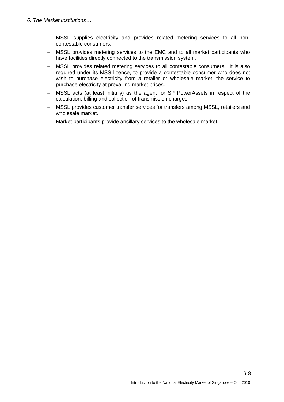- MSSL supplies electricity and provides related metering services to all noncontestable consumers.
- MSSL provides metering services to the EMC and to all market participants who have facilities directly connected to the transmission system.
- MSSL provides related metering services to all contestable consumers. It is also required under its MSS licence, to provide a contestable consumer who does not wish to purchase electricity from a retailer or wholesale market, the service to purchase electricity at prevailing market prices.
- MSSL acts (at least initially) as the agent for SP PowerAssets in respect of the calculation, billing and collection of transmission charges.
- MSSL provides customer transfer services for transfers among MSSL, retailers and wholesale market.
- Market participants provide ancillary services to the wholesale market.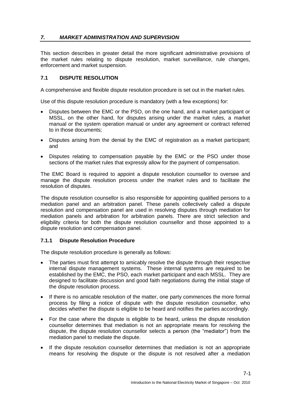## <span id="page-31-0"></span>*7. MARKET ADMINISTRATION AND SUPERVISION*

This section describes in greater detail the more significant administrative provisions of the market rules relating to dispute resolution, market surveillance, rule changes, enforcement and market suspension.

#### <span id="page-31-1"></span>**7.1 DISPUTE RESOLUTION**

A comprehensive and flexible dispute resolution procedure is set out in the market rules.

Use of this dispute resolution procedure is mandatory (with a few exceptions) for:

- Disputes between the EMC or the PSO, on the one hand, and a market participant or MSSL, on the other hand, for disputes arising under the market rules, a market manual or the system operation manual or under any agreement or contract referred to in those documents;
- Disputes arising from the denial by the EMC of registration as a market participant; and
- Disputes relating to compensation payable by the EMC or the PSO under those sections of the market rules that expressly allow for the payment of compensation.

The EMC Board is required to appoint a dispute resolution counsellor to oversee and manage the dispute resolution process under the market rules and to facilitate the resolution of disputes.

The dispute resolution counsellor is also responsible for appointing qualified persons to a mediation panel and an arbitration panel. These panels collectively called a dispute resolution and compensation panel are used in resolving disputes through mediation for mediation panels and arbitration for arbitration panels. There are strict selection and eligibility criteria for both the dispute resolution counsellor and those appointed to a dispute resolution and compensation panel.

#### **7.1.1 Dispute Resolution Procedure**

The dispute resolution procedure is generally as follows:

- The parties must first attempt to amicably resolve the dispute through their respective internal dispute management systems. These internal systems are required to be established by the EMC, the PSO, each market participant and each MSSL. They are designed to facilitate discussion and good faith negotiations during the initial stage of the dispute resolution process.
- If there is no amicable resolution of the matter, one party commences the more formal process by filing a notice of dispute with the dispute resolution counsellor, who decides whether the dispute is eligible to be heard and notifies the parties accordingly.
- For the case where the dispute is eligible to be heard, unless the dispute resolution counsellor determines that mediation is not an appropriate means for resolving the dispute, the dispute resolution counsellor selects a person (the "mediator") from the mediation panel to mediate the dispute.
- If the dispute resolution counsellor determines that mediation is not an appropriate means for resolving the dispute or the dispute is not resolved after a mediation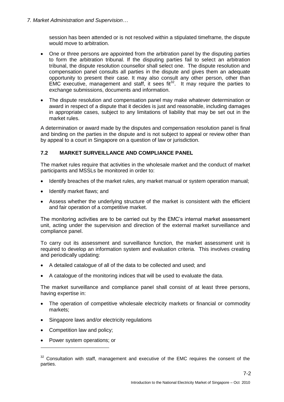session has been attended or is not resolved within a stipulated timeframe, the dispute would move to arbitration.

- One or three persons are appointed from the arbitration panel by the disputing parties to form the arbitration tribunal. If the disputing parties fail to select an arbitration tribunal, the dispute resolution counsellor shall select one. The dispute resolution and compensation panel consults all parties in the dispute and gives them an adequate opportunity to present their case. It may also consult any other person, other than EMC executive, management and staff, it sees fit<sup>32</sup>. It may require the parties to exchange submissions, documents and information.
- The dispute resolution and compensation panel may make whatever determination or award in respect of a dispute that it decides is just and reasonable, including damages in appropriate cases, subject to any limitations of liability that may be set out in the market rules.

A determination or award made by the disputes and compensation resolution panel is final and binding on the parties in the dispute and is not subject to appeal or review other than by appeal to a court in Singapore on a question of law or jurisdiction.

# <span id="page-32-0"></span>**7.2 MARKET SURVEILLANCE AND COMPLIANCE PANEL**

The market rules require that activities in the wholesale market and the conduct of market participants and MSSLs be monitored in order to:

- Identify breaches of the market rules, any market manual or system operation manual;
- Identify market flaws; and
- Assess whether the underlying structure of the market is consistent with the efficient and fair operation of a competitive market.

The monitoring activities are to be carried out by the EMC's internal market assessment unit, acting under the supervision and direction of the external market surveillance and compliance panel.

To carry out its assessment and surveillance function, the market assessment unit is required to develop an information system and evaluation criteria. This involves creating and periodically updating:

- A detailed catalogue of all of the data to be collected and used; and
- A catalogue of the monitoring indices that will be used to evaluate the data.

The market surveillance and compliance panel shall consist of at least three persons, having expertise in:

- The operation of competitive wholesale electricity markets or financial or commodity markets;
- Singapore laws and/or electricity regulations
- Competition law and policy;
- Power system operations; or

1

 $32$  Consultation with staff, management and executive of the EMC requires the consent of the parties.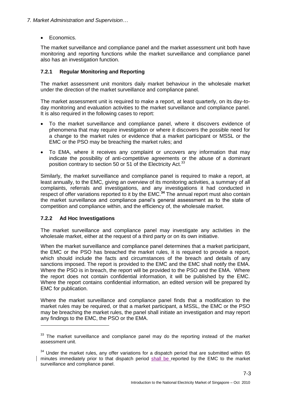Economics.

The market surveillance and compliance panel and the market assessment unit both have monitoring and reporting functions while the market surveillance and compliance panel also has an investigation function.

# **7.2.1 Regular Monitoring and Reporting**

The market assessment unit monitors daily market behaviour in the wholesale market under the direction of the market surveillance and compliance panel.

The market assessment unit is required to make a report, at least quarterly, on its day-today monitoring and evaluation activities to the market surveillance and compliance panel. It is also required in the following cases to report:

- To the market surveillance and compliance panel, where it discovers evidence of phenomena that may require investigation or where it discovers the possible need for a change to the market rules or evidence that a market participant or MSSL or the EMC or the PSO may be breaching the market rules; and
- To EMA, where it receives any complaint or uncovers any information that may indicate the possibility of anti-competitive agreements or the abuse of a dominant position contrary to section 50 or 51 of the Electricity Act.<sup>33</sup>

Similarly, the market surveillance and compliance panel is required to make a report, at least annually, to the EMC, giving an overview of its monitoring activities, a summary of all complaints, referrals and investigations, and any investigations it had conducted in respect of offer variations reported to it by the EMC.**<sup>34</sup>** The annual report must also contain the market surveillance and compliance panel's general assessment as to the state of competition and compliance within, and the efficiency of, the wholesale market.

#### **7.2.2 Ad Hoc Investigations**

1

The market surveillance and compliance panel may investigate any activities in the wholesale market, either at the request of a third party or on its own initiative.

When the market surveillance and compliance panel determines that a market participant, the EMC or the PSO has breached the market rules, it is required to provide a report, which should include the facts and circumstances of the breach and details of any sanctions imposed. The report is provided to the EMC and the EMC shall notify the EMA. Where the PSO is in breach, the report will be provided to the PSO and the EMA. Where the report does not contain confidential information, it will be published by the EMC. Where the report contains confidential information, an edited version will be prepared by EMC for publication.

Where the market surveillance and compliance panel finds that a modification to the market rules may be required, or that a market participant, a MSSL, the EMC or the PSO may be breaching the market rules, the panel shall initiate an investigation and may report any findings to the EMC, the PSO or the EMA.

 $33$  The market surveillance and compliance panel may do the reporting instead of the market assessment unit.

 $34$  Under the market rules, any offer variations for a dispatch period that are submitted within 65 minutes immediately prior to that dispatch period shall be reported by the EMC to the market surveillance and compliance panel.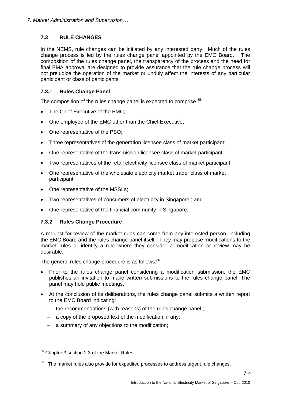# <span id="page-34-0"></span>**7.3 RULE CHANGES**

In the NEMS, rule changes can be initiated by any interested party. Much of the rules change process is led by the rules change panel appointed by the EMC Board. composition of the rules change panel, the transparency of the process and the need for final EMA approval are designed to provide assurance that the rule change process will not prejudice the operation of the market or unduly affect the interests of any particular participant or class of participants.

# **7.3.1 Rules Change Panel**

The composition of the rules change panel is expected to comprise  $35$ .

- The Chief Executive of the EMC;
- One employee of the EMC other than the Chief Executive;
- One representative of the PSO;
- Three representatives of the generation licensee class of market participant;
- One representative of the transmission licensee class of market participant;
- Two representatives of the retail electricity licensee class of market participant;
- One representative of the wholesale electricity market trader class of market participant
- One representative of the MSSLs;
- Two representatives of consumers of electricity in Singapore ; and
- One representative of the financial community in Singapore.

# **7.3.2 Rules Change Procedure**

A request for review of the market rules can come from any interested person, including the EMC Board and the rules change panel itself. They may propose modifications to the market rules or identify a rule where they consider a modification or review may be desirable.

The general rules change procedure is as follows:<sup>36</sup>

- Prior to the rules change panel considering a modification submission, the EMC publishes an invitation to make written submissions to the rules change panel. The panel may hold public meetings.
- At the conclusion of its deliberations, the rules change panel submits a written report to the EMC Board indicating:
	- the recommendations (with reasons) of the rules change panel;
	- $-$  a copy of the proposed text of the modification, if any;
	- a summary of any objections to the modification;

1

 $35$  Chapter 3 section 2.3 of the Market Rules

<sup>36</sup> The market rules also provide for expedited processes to address urgent rule changes.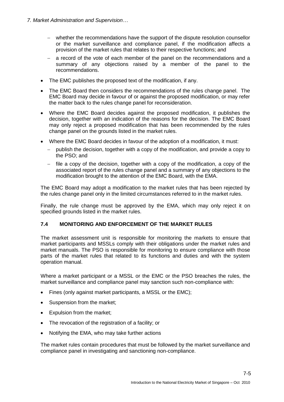- whether the recommendations have the support of the dispute resolution counsellor or the market surveillance and compliance panel, if the modification affects a provision of the market rules that relates to their respective functions; and
- a record of the vote of each member of the panel on the recommendations and a summary of any objections raised by a member of the panel to the recommendations.
- The EMC publishes the proposed text of the modification, if any.
- The EMC Board then considers the recommendations of the rules change panel. The EMC Board may decide in favour of or against the proposed modification, or may refer the matter back to the rules change panel for reconsideration.
- Where the EMC Board decides against the proposed modification, it publishes the decision, together with an indication of the reasons for the decision. The EMC Board may only reject a proposed modification that has been recommended by the rules change panel on the grounds listed in the market rules.
- Where the EMC Board decides in favour of the adoption of a modification, it must:
	- $-$  publish the decision, together with a copy of the modification, and provide a copy to the PSO; and
	- file a copy of the decision, together with a copy of the modification, a copy of the associated report of the rules change panel and a summary of any objections to the modification brought to the attention of the EMC Board, with the EMA.

The EMC Board may adopt a modification to the market rules that has been rejected by the rules change panel only in the limited circumstances referred to in the market rules.

Finally, the rule change must be approved by the EMA, which may only reject it on specified grounds listed in the market rules.

# <span id="page-35-0"></span>**7.4 MONITORING AND ENFORCEMENT OF THE MARKET RULES**

The market assessment unit is responsible for monitoring the markets to ensure that market participants and MSSLs comply with their obligations under the market rules and market manuals. The PSO is responsible for monitoring to ensure compliance with those parts of the market rules that related to its functions and duties and with the system operation manual.

Where a market participant or a MSSL or the EMC or the PSO breaches the rules, the market surveillance and compliance panel may sanction such non-compliance with:

- Fines (only against market participants, a MSSL or the EMC);
- Suspension from the market;
- Expulsion from the market;
- The revocation of the registration of a facility; or
- Notifying the EMA, who may take further actions

The market rules contain procedures that must be followed by the market surveillance and compliance panel in investigating and sanctioning non-compliance.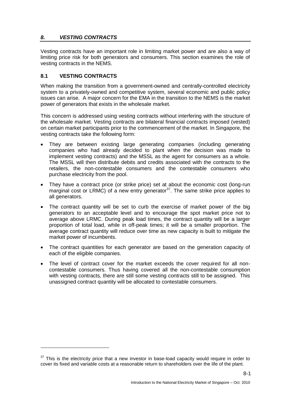## <span id="page-36-0"></span>*8. VESTING CONTRACTS*

Vesting contracts have an important role in limiting market power and are also a way of limiting price risk for both generators and consumers. This section examines the role of vesting contracts in the NEMS.

## <span id="page-36-1"></span>**8.1 VESTING CONTRACTS**

1

When making the transition from a government-owned and centrally-controlled electricity system to a privately-owned and competitive system, several economic and public policy issues can arise. A major concern for the EMA in the transition to the NEMS is the market power of generators that exists in the wholesale market.

This concern is addressed using vesting contracts without interfering with the structure of the wholesale market. Vesting contracts are bilateral financial contracts imposed (vested) on certain market participants prior to the commencement of the market. In Singapore, the vesting contracts take the following form:

- They are between existing large generating companies (including generating companies who had already decided to plant when the decision was made to implement vesting contracts) and the MSSL as the agent for consumers as a whole. The MSSL will then distribute debits and credits associated with the contracts to the retailers, the non-contestable consumers and the contestable consumers who purchase electricity from the pool.
- They have a contract price (or strike price) set at about the economic cost (long-run marginal cost or LRMC) of a new entry generator  $37$ . The same strike price applies to all generators.
- The contract quantity will be set to curb the exercise of market power of the big generators to an acceptable level and to encourage the spot market price not to average above LRMC. During peak load times, the contract quantity will be a larger proportion of total load, while in off-peak times; it will be a smaller proportion. The average contract quantity will reduce over time as new capacity is built to mitigate the market power of incumbents.
- The contract quantities for each generator are based on the generation capacity of each of the eligible companies.
- The level of contract cover for the market exceeds the cover required for all noncontestable consumers. Thus having covered all the non-contestable consumption with vesting contracts, there are still some vesting contracts still to be assigned. This unassigned contract quantity will be allocated to contestable consumers.

 $37$  This is the electricity price that a new investor in base-load capacity would require in order to cover its fixed and variable costs at a reasonable return to shareholders over the life of the plant.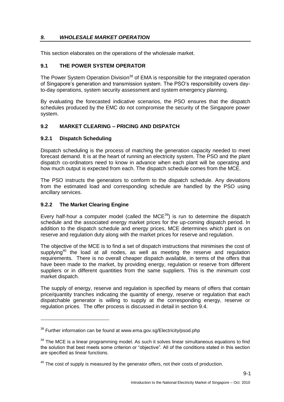## <span id="page-37-0"></span>*9. WHOLESALE MARKET OPERATION*

<span id="page-37-1"></span>This section elaborates on the operations of the wholesale market.

#### **9.1 THE POWER SYSTEM OPERATOR**

The Power System Operation Division<sup>38</sup> of EMA is responsible for the integrated operation of Singapore's generation and transmission system. The PSO's responsibility covers dayto-day operations, system security assessment and system emergency planning.

By evaluating the forecasted indicative scenarios, the PSO ensures that the dispatch schedules produced by the EMC do not compromise the security of the Singapore power system.

# <span id="page-37-2"></span>**9.2 MARKET CLEARING – PRICING AND DISPATCH**

#### **9.2.1 Dispatch Scheduling**

Dispatch scheduling is the process of matching the generation capacity needed to meet forecast demand. It is at the heart of running an electricity system. The PSO and the plant dispatch co-ordinators need to know in advance when each plant will be operating and how much output is expected from each. The dispatch schedule comes from the MCE.

The PSO instructs the generators to conform to the dispatch schedule. Any deviations from the estimated load and corresponding schedule are handled by the PSO using ancillary services.

# **9.2.2 The Market Clearing Engine**

1

Every half-hour a computer model (called the  $MCE^{39}$ ) is run to determine the dispatch schedule and the associated energy market prices for the up-coming dispatch period. In addition to the dispatch schedule and energy prices, MCE determines which plant is on reserve and regulation duty along with the market prices for reserve and regulation.

The objective of the MCE is to find a set of dispatch instructions that minimises the cost of supplying<sup>40</sup> the load at all nodes, as well as meeting the reserve and regulation requirements. There is no overall cheaper dispatch available, in terms of the offers that have been made to the market, by providing energy, regulation or reserve from different suppliers or in different quantities from the same suppliers. This is the minimum cost market dispatch.

The supply of energy, reserve and regulation is specified by means of offers that contain price/quantity tranches indicating the quantity of energy, reserve or regulation that each dispatchable generator is willing to supply at the corresponding energy, reserve or regulation prices. The offer process is discussed in detail in section [9.4.](#page-45-0)

 $38$  Further information can be found at www.ema.gov.sg/Electricity/psod.php

 $39$  The MCE is a linear programming model. As such it solves linear simultaneous equations to find the solution that best meets some criterion or "objective". All of the conditions stated in this section are specified as linear functions.

 $40$  The cost of supply is measured by the generator offers, not their costs of production.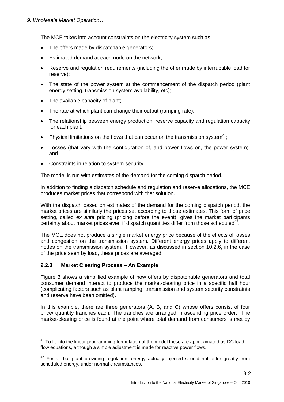The MCE takes into account constraints on the electricity system such as:

- The offers made by dispatchable generators;
- Estimated demand at each node on the network;
- Reserve and regulation requirements (including the offer made by interruptible load for reserve);
- The state of the power system at the commencement of the dispatch period (plant energy setting, transmission system availability, etc);
- The available capacity of plant;
- The rate at which plant can change their output (ramping rate);
- The relationship between energy production, reserve capacity and regulation capacity for each plant;
- Physical limitations on the flows that can occur on the transmission system<sup>41</sup>;
- Losses (that vary with the configuration of, and power flows on, the power system); and
- Constraints in relation to system security.

The model is run with estimates of the demand for the coming dispatch period.

In addition to finding a dispatch schedule and regulation and reserve allocations, the MCE produces market prices that correspond with that solution.

With the dispatch based on estimates of the demand for the coming dispatch period, the market prices are similarly the prices set according to those estimates. This form of price setting, called *ex ante* pricing (pricing before the event), gives the market participants certainty about market prices even if dispatch quantities differ from those scheduled<sup>42</sup>.

The MCE does not produce a single market energy price because of the effects of losses and congestion on the transmission system. Different energy prices apply to different nodes on the transmission system. However, as discussed in section 10.2.6, in the case of the price seen by load, these prices are averaged.

#### **9.2.3 Market Clearing Process – An Example**

1

[Figure 3](#page-39-0) shows a simplified example of how offers by dispatchable generators and total consumer demand interact to produce the market-clearing price in a specific half hour (complicating factors such as plant ramping, transmission and system security constraints and reserve have been omitted).

In this example, there are three generators (A, B, and C) whose offers consist of four price/ quantity tranches each. The tranches are arranged in ascending price order. The market-clearing price is found at the point where total demand from consumers is met by

<sup>&</sup>lt;sup>41</sup> To fit into the linear programming formulation of the model these are approximated as DC loadflow equations, although a simple adjustment is made for reactive power flows.

 $42$  For all but plant providing regulation, energy actually injected should not differ greatly from scheduled energy, under normal circumstances.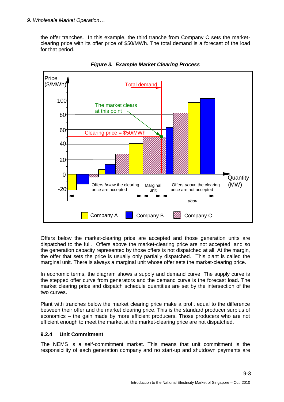the offer tranches. In this example, the third tranche from Company C sets the marketclearing price with its offer price of \$50/MWh. The total demand is a forecast of the load for that period.

<span id="page-39-0"></span>

*Figure 3. Example Market Clearing Process*

Offers below the market-clearing price are accepted and those generation units are dispatched to the full. Offers above the market-clearing price are not accepted, and so the generation capacity represented by those offers is not dispatched at all. At the margin, the offer that sets the price is usually only partially dispatched. This plant is called the marginal unit. There is always a marginal unit whose offer sets the market-clearing price.

In economic terms, the diagram shows a supply and demand curve. The supply curve is the stepped offer curve from generators and the demand curve is the forecast load. The market clearing price and dispatch schedule quantities are set by the intersection of the two curves.

Plant with tranches below the market clearing price make a profit equal to the difference between their offer and the market clearing price. This is the standard producer surplus of economics – the gain made by more efficient producers. Those producers who are not efficient enough to meet the market at the market-clearing price are not dispatched.

#### **9.2.4 Unit Commitment**

The NEMS is a self-commitment market. This means that unit commitment is the responsibility of each generation company and no start-up and shutdown payments are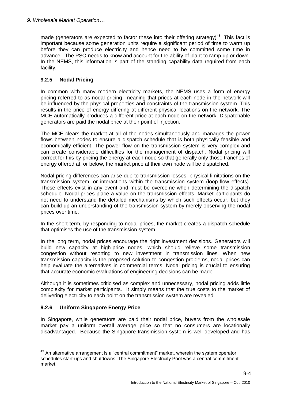made (generators are expected to factor these into their offering strategy)<sup>43</sup>. This fact is important because some generation units require a significant period of time to warm up before they can produce electricity and hence need to be committed some time in advance. The PSO needs to know and account for the ability of plant to ramp up or down. In the NEMS, this information is part of the standing capability data required from each facility.

# **9.2.5 Nodal Pricing**

In common with many modern electricity markets, the NEMS uses a form of energy pricing referred to as nodal pricing, meaning that prices at each node in the network will be influenced by the physical properties and constraints of the transmission system. This results in the price of energy differing at different physical locations on the network. The MCE automatically produces a different price at each node on the network. Dispatchable generators are paid the nodal price at their point of injection.

The MCE clears the market at all of the nodes simultaneously and manages the power flows between nodes to ensure a dispatch schedule that is both physically feasible and economically efficient. The power flow on the transmission system is very complex and can create considerable difficulties for the management of dispatch. Nodal pricing will correct for this by pricing the energy at each node so that generally only those tranches of energy offered at, or below, the market price at their own node will be dispatched.

Nodal pricing differences can arise due to transmission losses, physical limitations on the transmission system, or interactions within the transmission system (loop-flow effects). These effects exist in any event and must be overcome when determining the dispatch schedule. Nodal prices place a value on the transmission effects. Market participants do not need to understand the detailed mechanisms by which such effects occur, but they can build up an understanding of the transmission system by merely observing the nodal prices over time.

In the short term, by responding to nodal prices, the market creates a dispatch schedule that optimises the use of the transmission system.

In the long term, nodal prices encourage the right investment decisions. Generators will build new capacity at high-price nodes, which should relieve some transmission congestion without resorting to new investment in transmission lines. When new transmission capacity is the proposed solution to congestion problems, nodal prices can help evaluate the alternatives in commercial terms. Nodal pricing is crucial to ensuring that accurate economic evaluations of engineering decisions can be made.

Although it is sometimes criticised as complex and unnecessary, nodal pricing adds little complexity for market participants. It simply means that the true costs to the market of delivering electricity to each point on the transmission system are revealed.

# **9.2.6 Uniform Singapore Energy Price**

-

In Singapore, while generators are paid their nodal price, buyers from the wholesale market pay a uniform overall average price so that no consumers are locationally disadvantaged. Because the Singapore transmission system is well developed and has

 $43$  An alternative arrangement is a "central commitment" market, wherein the system operator schedules start-ups and shutdowns. The Singapore Electricity Pool was a central commitment market.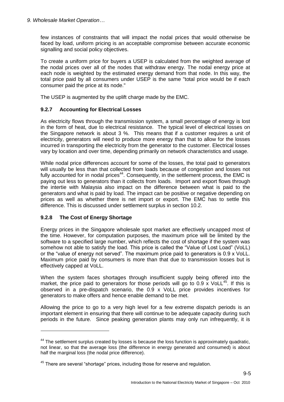few instances of constraints that will impact the nodal prices that would otherwise be faced by load, uniform pricing is an acceptable compromise between accurate economic signalling and social policy objectives.

To create a uniform price for buyers a USEP is calculated from the weighted average of the nodal prices over all of the nodes that withdraw energy. The nodal energy price at each node is weighted by the estimated energy demand from that node. In this way, the total price paid by all consumers under USEP is the same "total price would be if each consumer paid the price at its node."

The USEP is augmented by the uplift charge made by the EMC.

## **9.2.7 Accounting for Electrical Losses**

As electricity flows through the transmission system, a small percentage of energy is lost in the form of heat, due to electrical resistance. The typical level of electrical losses on the Singapore network is about 3 %. This means that if a customer requires a unit of electricity, generators will need to produce more energy than that to allow for the losses incurred in transporting the electricity from the generator to the customer. Electrical losses vary by location and over time, depending primarily on network characteristics and usage.

While nodal price differences account for some of the losses, the total paid to generators will usually be less than that collected from loads because of congestion and losses not fully accounted for in nodal prices<sup>44</sup>. Consequently, in the settlement process, the EMC is paying out less to generators than it collects from loads. Import and export flows through the intertie with Malaysia also impact on the difference between what is paid to the generators and what is paid by load. The impact can be positive or negative depending on prices as well as whether there is net import or export. The EMC has to settle this difference. This is discussed under settlement surplus in section [10.2.](#page-51-0)

#### **9.2.8 The Cost of Energy Shortage**

1

Energy prices in the Singapore wholesale spot market are effectively uncapped most of the time. However, for computation purposes, the maximum price will be limited by the software to a specified large number, which reflects the cost of shortage if the system was somehow not able to satisfy the load. This price is called the "Value of Lost Load" (VoLL) or the "value of energy not served". The maximum price paid to generators is 0.9 x VoLL. Maximum price paid by consumers is more than that due to transmission losses but is effectively capped at VoLL.

When the system faces shortages through insufficient supply being offered into the market, the price paid to generators for those periods will go to 0.9 x VoLL<sup>45</sup>. If this is observed in a pre-dispatch scenario, the 0.9 x VoLL price provides incentives for generators to make offers and hence enable demand to be met.

Allowing the price to go to a very high level for a few extreme dispatch periods is an important element in ensuring that there will continue to be adequate capacity during such periods in the future. Since peaking generation plants may only run infrequently, it is

<sup>&</sup>lt;sup>44</sup> The settlement surplus created by losses is because the loss function is approximately quadratic, not linear, so that the average loss (the difference in energy generated and consumed) is about half the marginal loss (the nodal price difference).

 $45$  There are several "shortage" prices, including those for reserve and regulation.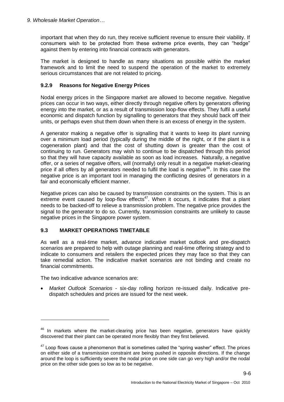important that when they do run, they receive sufficient revenue to ensure their viability. If consumers wish to be protected from these extreme price events, they can "hedge" against them by entering into financial contracts with generators.

The market is designed to handle as many situations as possible within the market framework and to limit the need to suspend the operation of the market to extremely serious circumstances that are not related to pricing.

## **9.2.9 Reasons for Negative Energy Prices**

Nodal energy prices in the Singapore market are allowed to become negative. Negative prices can occur in two ways, either directly through negative offers by generators offering energy into the market, or as a result of transmission loop-flow effects. They fulfil a useful economic and dispatch function by signalling to generators that they should back off their units, or perhaps even shut them down when there is an excess of energy in the system.

A generator making a negative offer is signalling that it wants to keep its plant running over a minimum load period (typically during the middle of the night, or if the plant is a cogeneration plant) and that the cost of shutting down is greater than the cost of continuing to run. Generators may wish to continue to be dispatched through this period so that they will have capacity available as soon as load increases. Naturally, a negative offer, or a series of negative offers, will (normally) only result in a negative market-clearing price if all offers by all generators needed to fulfil the load is negative<sup>46</sup>. In this case the negative price is an important tool in managing the conflicting desires of generators in a fair and economically efficient manner.

Negative prices can also be caused by transmission constraints on the system. This is an extreme event caused by loop-flow effects<sup>47</sup>. When it occurs, it indicates that a plant needs to be backed-off to relieve a transmission problem. The negative price provides the signal to the generator to do so. Currently, transmission constraints are unlikely to cause negative prices in the Singapore power system.

# <span id="page-42-0"></span>**9.3 MARKET OPERATIONS TIMETABLE**

As well as a real-time market, advance indicative market outlook and pre-dispatch scenarios are prepared to help with outage planning and real-time offering strategy and to indicate to consumers and retailers the expected prices they may face so that they can take remedial action. The indicative market scenarios are not binding and create no financial commitments.

The two indicative advance scenarios are:

-

 *Market Outlook Scenarios -* six-day rolling horizon re-issued daily. Indicative predispatch schedules and prices are issued for the next week.

<sup>&</sup>lt;sup>46</sup> In markets where the market-clearing price has been negative, generators have quickly discovered that their plant can be operated more flexibly than they first believed.

 $47$  Loop flows cause a phenomenon that is sometimes called the "spring washer" effect. The prices on either side of a transmission constraint are being pushed in opposite directions. If the change around the loop is sufficiently severe the nodal price on one side can go very high and/or the nodal price on the other side goes so low as to be negative.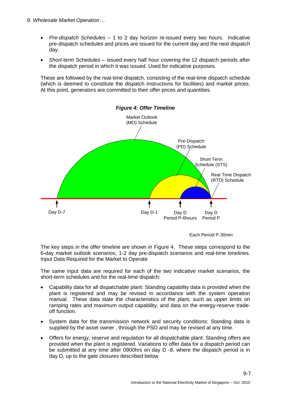- *9. Wholesale Market Operation…*
	- *Pre*-*dispatch Schedules –* 1 to 2 day horizon re-issued every two hours. Indicative pre-dispatch schedules and prices are issued for the current day and the next dispatch day.
	- *Short*-term Schedules issued every half hour covering the 12 dispatch periods after the dispatch period in which it was issued. Used for indicative purposes.

These are followed by the real-time dispatch, consisting of the real-time dispatch schedule (which is deemed to constitute the dispatch instructions for facilities) and market prices. At this point, generators are committed to their offer prices and quantities.

<span id="page-43-0"></span>

Each Period P-30min

The key steps in the offer timeline are shown in [Figure 4.](#page-43-0) These steps correspond to the 6-day market outlook scenarios, 1-2 day pre-dispatch scenarios and real-time timelines. Input Data Required for the Market to Operate

The same input data are required for each of the two indicative market scenarios, the short-term schedules and for the real-time dispatch:

- Capability data for all dispatchable plant: Standing capability data is provided when the plant is registered and may be revised in accordance with the system operation manual. These data state the characteristics of the plant, such as upper limits on ramping rates and maximum output capability, and data on the energy-reserve tradeoff function.
- System data for the transmission network and security conditions: Standing data is supplied by the asset owner , through the PSO and may be revised at any time.
- Offers for energy, reserve and regulation for all dispatchable plant: Standing offers are provided when the plant is registered. Variations to offer data for a dispatch period can be submitted at any time after 0900hrs on day D -8, where the dispatch period is in day D, up to the gate closures described below.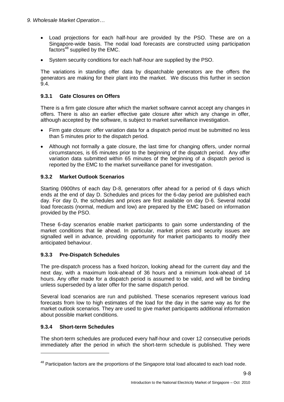- Load projections for each half-hour are provided by the PSO. These are on a Singapore-wide basis. The nodal load forecasts are constructed using participation factors<sup>48</sup> supplied by the EMC.
- System security conditions for each half-hour are supplied by the PSO.

The variations in standing offer data by dispatchable generators are the offers the generators are making for their plant into the market. We discuss this further in section [9.4.](#page-45-0)

## **9.3.1 Gate Closures on Offers**

There is a firm gate closure after which the market software cannot accept any changes in offers. There is also an earlier effective gate closure after which any change in offer, although accepted by the software, is subject to market surveillance investigation.

- Firm gate closure: offer variation data for a dispatch period must be submitted no less than 5 minutes prior to the dispatch period.
- Although not formally a gate closure, the last time for changing offers, under normal circumstances, is 65 minutes prior to the beginning of the dispatch period. Any offer variation data submitted within 65 minutes of the beginning of a dispatch period is reported by the EMC to the market surveillance panel for investigation.

## **9.3.2 Market Outlook Scenarios**

Starting 0900hrs of each day D-8, generators offer ahead for a period of 6 days which ends at the end of day D. Schedules and prices for the 6-day period are published each day. For day D, the schedules and prices are first available on day D-6. Several nodal load forecasts (normal, medium and low) are prepared by the EMC based on information provided by the PSO.

These 6-day scenarios enable market participants to gain some understanding of the market conditions that lie ahead. In particular, market prices and security issues are signalled well in advance, providing opportunity for market participants to modify their anticipated behaviour.

# **9.3.3 Pre-Dispatch Schedules**

The pre-dispatch process has a fixed horizon, looking ahead for the current day and the next day, with a maximum look-ahead of 36 hours and a minimum look-ahead of 14 hours. Any offer made for a dispatch period is assumed to be valid, and will be binding unless superseded by a later offer for the same dispatch period.

Several load scenarios are run and published. These scenarios represent various load forecasts from low to high estimates of the load for the day in the same way as for the market outlook scenarios. They are used to give market participants additional information about possible market conditions.

# **9.3.4 Short-term Schedules**

1

The short-term schedules are produced every half-hour and cover 12 consecutive periods immediately after the period in which the short-term schedule is published. They were

<sup>&</sup>lt;sup>48</sup> Participation factors are the proportions of the Singapore total load allocated to each load node.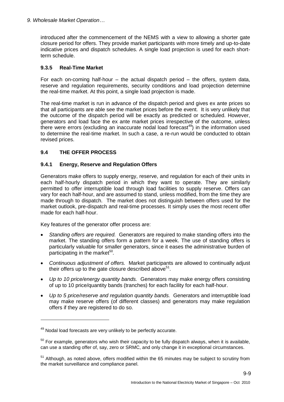introduced after the commencement of the NEMS with a view to allowing a shorter gate closure period for offers. They provide market participants with more timely and up-to-date indicative prices and dispatch schedules. A single load projection is used for each shortterm schedule.

## **9.3.5 Real-Time Market**

For each on-coming half-hour  $-$  the actual dispatch period  $-$  the offers, system data, reserve and regulation requirements, security conditions and load projection determine the real-time market. At this point, a single load projection is made.

The real-time market is run in advance of the dispatch period and gives ex ante prices so that all participants are able see the market prices before the event. It is very unlikely that the outcome of the dispatch period will be exactly as predicted or scheduled. However, generators and load face the ex ante market prices irrespective of the outcome, unless there were errors (excluding an inaccurate nodal load forecast<sup>49</sup>) in the information used to determine the real-time market. In such a case, a re-run would be conducted to obtain revised prices.

# <span id="page-45-0"></span>**9.4 THE OFFER PROCESS**

## **9.4.1 Energy, Reserve and Regulation Offers**

Generators make offers to supply energy, reserve, and regulation for each of their units in each half-hourly dispatch period in which they want to operate. They are similarly permitted to offer interruptible load through load facilities to supply reserve. Offers can vary for each half-hour, and are assumed to stand, unless modified, from the time they are made through to dispatch. The market does not distinguish between offers used for the market outlook, pre-dispatch and real-time processes. It simply uses the most recent offer made for each half-hour.

Key features of the generator offer process are:

- *Standing offers are required.* Generators are required to make standing offers into the market. The standing offers form a pattern for a week. The use of standing offers is particularly valuable for smaller generators, since it eases the administrative burden of participating in the market<sup>50</sup>.
- *Continuous adjustment of offers.* Market participants are allowed to continually adjust their offers up to the gate closure described above $51$ .
- *Up to 10 price/energy quantity bands.* Generators may make energy offers consisting of up to 10 price/quantity bands (tranches) for each facility for each half-hour.
- *Up to 5 price/reserve and regulation quantity bands.* Generators and interruptible load may make reserve offers (of different classes) and generators may make regulation offers if they are registered to do so.

1

 $49$  Nodal load forecasts are very unlikely to be perfectly accurate.

 $50$  For example, generators who wish their capacity to be fully dispatch always, when it is available, can use a standing offer of, say, zero or SRMC, and only change it in exceptional circumstances.

 $51$  Although, as noted above, offers modified within the 65 minutes may be subject to scrutiny from the market surveillance and compliance panel.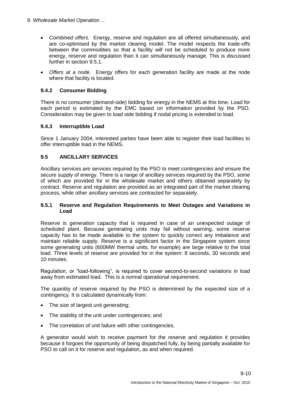- *Combined offers.* Energy, reserve and regulation are all offered simultaneously, and are co-optimised by the market clearing model. The model respects the trade-offs between the commodities so that a facility will not be scheduled to produce more energy, reserve and regulation than it can simultaneously manage. This is discussed further in section [9.5.1.](#page-46-1)
- *Offers at a node.* Energy offers for each generation facility are made at the node where that facility is located.

## **9.4.2 Consumer Bidding**

There is no consumer (demand-side) bidding for energy in the NEMS at this time. Load for each period is estimated by the EMC based on information provided by the PSO. Consideration may be given to load side bidding if nodal pricing is extended to load.

#### **9.4.3 Interruptible Load**

Since 1 January 2004, interested parties have been able to register their load facilities to offer interruptible load in the NEMS.

## <span id="page-46-0"></span>**9.5 ANCILLARY SERVICES**

Ancillary services are services required by the PSO to meet contingencies and ensure the secure supply of energy. There is a range of ancillary services required by the PSO, some of which are provided for in the wholesale market and others obtained separately by contract. Reserve and regulation are provided as an integrated part of the market clearing process, while other ancillary services are contracted for separately.

#### <span id="page-46-1"></span>**9.5.1 Reserve and Regulation Requirements to Meet Outages and Variations in Load**

Reserve is generation capacity that is required in case of an unexpected outage of scheduled plant. Because generating units may fail without warning, some reserve capacity has to be made available to the system to quickly correct any imbalance and maintain reliable supply. Reserve is a significant factor in the Singapore system since some generating units (600MW thermal units, for example) are large relative to the total load. Three levels of reserve are provided for in the system: 8 seconds, 30 seconds and 10 minutes.

Regulation, or "load-following", is required to cover second-to-second variations in load away from estimated load. This is a normal operational requirement.

The quantity of reserve required by the PSO is determined by the expected size of a contingency. It is calculated dynamically from:

- The size of largest unit generating;
- The stability of the unit under contingencies; and
- The correlation of unit failure with other contingencies.

A generator would wish to receive payment for the reserve and regulation it provides because it forgoes the opportunity of being dispatched fully, by being partially available for PSO to call on it for reserve and regulation, as and when required.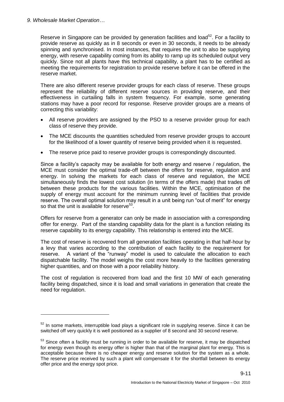#### *9. Wholesale Market Operation…*

-

Reserve in Singapore can be provided by generation facilities and load<sup>52</sup>. For a facility to provide reserve as quickly as in 8 seconds or even in 30 seconds, it needs to be already spinning and synchronised. In most instances, that requires the unit to also be supplying energy, with reserve capability coming from its ability to ramp up its scheduled output very quickly. Since not all plants have this technical capability, a plant has to be certified as meeting the requirements for registration to provide reserve before it can be offered in the reserve market.

There are also different reserve provider groups for each class of reserve. These groups represent the reliability of different reserve sources in providing reserve, and their effectiveness in curtailing falls in system frequency. For example, some generating stations may have a poor record for response. Reserve provider groups are a means of correcting this variability:

- All reserve providers are assigned by the PSO to a reserve provider group for each class of reserve they provide.
- The MCE discounts the quantities scheduled from reserve provider groups to account for the likelihood of a lower quantity of reserve being provided when it is requested.
- The reserve price paid to reserve provider groups is correspondingly discounted.

Since a facility's capacity may be available for both energy and reserve / regulation, the MCE must consider the optimal trade-off between the offers for reserve, regulation and energy. In solving the markets for each class of reserve and regulation, the MCE simultaneously finds the lowest cost solution (in terms of the offers made) that trades off between these products for the various facilities. Within the MCE, optimisation of the supply of energy must account for the minimum running level of facilities that provide reserve. The overall optimal solution may result in a unit being run "out of merit" for energy so that the unit is available for reserve $53$ .

Offers for reserve from a generator can only be made in association with a corresponding offer for energy. Part of the standing capability data for the plant is a function relating its reserve capability to its energy capability. This relationship is entered into the MCE.

The cost of reserve is recovered from all generation facilities operating in that half-hour by a levy that varies according to the contribution of each facility to the requirement for reserve. A variant of the "runway" model is used to calculate the allocation to each dispatchable facility. The model weighs the cost more heavily to the facilities generating higher quantities, and on those with a poor reliability history.

The cost of regulation is recovered from load and the first 10 MW of each generating facility being dispatched, since it is load and small variations in generation that create the need for regulation.

 $52$  In some markets, interruptible load plays a significant role in supplying reserve. Since it can be switched off very quickly it is well positioned as a supplier of 8 second and 30 second reserve.

 $53$  Since often a facility must be running in order to be available for reserve, it may be dispatched for energy even though its energy offer is higher than that of the marginal plant for energy. This is acceptable because there is no cheaper energy and reserve solution for the system as a whole. The reserve price received by such a plant will compensate it for the shortfall between its energy offer price and the energy spot price.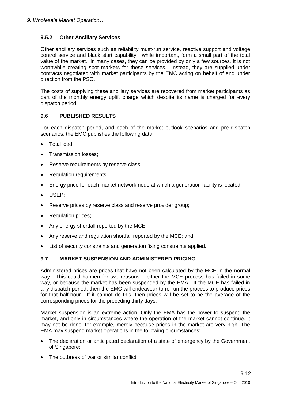## **9.5.2 Other Ancillary Services**

Other ancillary services such as reliability must-run service, reactive support and voltage control service and black start capability , while important, form a small part of the total value of the market. In many cases, they can be provided by only a few sources. It is not worthwhile creating spot markets for these services. Instead, they are supplied under contracts negotiated with market participants by the EMC acting on behalf of and under direction from the PSO.

The costs of supplying these ancillary services are recovered from market participants as part of the monthly energy uplift charge which despite its name is charged for every dispatch period.

## <span id="page-48-0"></span>**9.6 PUBLISHED RESULTS**

For each dispatch period, and each of the market outlook scenarios and pre-dispatch scenarios, the EMC publishes the following data:

- Total load:
- Transmission losses;
- Reserve requirements by reserve class;
- Regulation requirements;
- Energy price for each market network node at which a generation facility is located;
- USEP;
- Reserve prices by reserve class and reserve provider group;
- Regulation prices;
- Any energy shortfall reported by the MCE;
- Any reserve and regulation shortfall reported by the MCE; and
- <span id="page-48-1"></span>List of security constraints and generation fixing constraints applied.

#### **9.7 MARKET SUSPENSION AND ADMINISTERED PRICING**

Administered prices are prices that have not been calculated by the MCE in the normal way. This could happen for two reasons – either the MCE process has failed in some way, or because the market has been suspended by the EMA. If the MCE has failed in any dispatch period, then the EMC will endeavour to re-run the process to produce prices for that half-hour. If it cannot do this, then prices will be set to be the average of the corresponding prices for the preceding thirty days.

Market suspension is an extreme action. Only the EMA has the power to suspend the market, and only in circumstances where the operation of the market cannot continue. It may not be done, for example, merely because prices in the market are very high. The EMA may suspend market operations in the following circumstances:

- The declaration or anticipated declaration of a state of emergency by the Government of Singapore;
- The outbreak of war or similar conflict;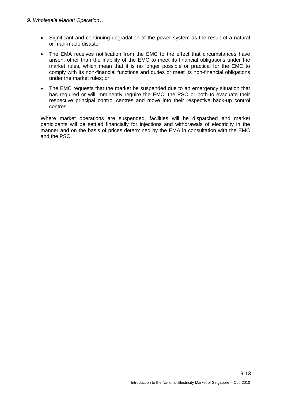- Significant and continuing degradation of the power system as the result of a natural or man-made disaster;
- The EMA receives notification from the EMC to the effect that circumstances have arisen, other than the inability of the EMC to meet its financial obligations under the market rules, which mean that it is no longer possible or practical for the EMC to comply with its non-financial functions and duties or meet its non-financial obligations under the market rules; or
- The EMC requests that the market be suspended due to an emergency situation that has required or will imminently require the EMC, the PSO or both to evacuate their respective principal control centres and move into their respective back-up control centres.

Where market operations are suspended, facilities will be dispatched and market participants will be settled financially for injections and withdrawals of electricity in the manner and on the basis of prices determined by the EMA in consultation with the EMC and the PSO*.*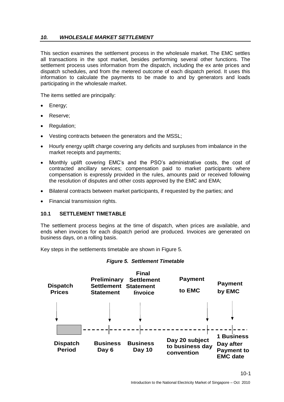#### <span id="page-50-0"></span>*10. WHOLESALE MARKET SETTLEMENT*

This section examines the settlement process in the wholesale market. The EMC settles all transactions in the spot market, besides performing several other functions. The settlement process uses information from the dispatch, including the ex ante prices and dispatch schedules, and from the metered outcome of each dispatch period. It uses this information to calculate the payments to be made to and by generators and loads participating in the wholesale market.

The items settled are principally:

- Energy;
- Reserve;
- Regulation;
- Vesting contracts between the generators and the MSSL;
- Hourly energy uplift charge covering any deficits and surpluses from imbalance in the market receipts and payments;
- Monthly uplift covering EMC's and the PSO's administrative costs, the cost of contracted ancillary services; compensation paid to market participants where compensation is expressly provided in the rules, amounts paid or received following the resolution of disputes and other costs approved by the EMC and EMA;
- Bilateral contracts between market participants, if requested by the parties; and
- <span id="page-50-1"></span>Financial transmission rights.

#### **10.1 SETTLEMENT TIMETABLE**

The settlement process begins at the time of dispatch, when prices are available, and ends when invoices for each dispatch period are produced. Invoices are generated on business days, on a rolling basis.

<span id="page-50-2"></span>Key steps in the settlements timetable are shown in [Figure 5.](#page-50-2)



*Figure 5. Settlement Timetable*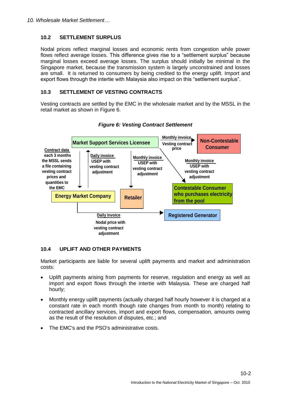# <span id="page-51-0"></span>**10.2 SETTLEMENT SURPLUS**

Nodal prices reflect marginal losses and economic rents from congestion while power flows reflect average losses. This difference gives rise to a "settlement surplus" because marginal losses exceed average losses. The surplus should initially be minimal in the Singapore market, because the transmission system is largely unconstrained and losses are small. It is returned to consumers by being credited to the energy uplift. Import and export flows through the intertie with Malaysia also impact on this "settlement surplus".

# <span id="page-51-1"></span>**10.3 SETTLEMENT OF VESTING CONTRACTS**

Vesting contracts are settled by the EMC in the wholesale market and by the MSSL in the retail market as shown in [Figure 6.](#page-51-3)

<span id="page-51-3"></span>

# *Figure 6: Vesting Contract Settlement*

#### <span id="page-51-2"></span>**10.4 UPLIFT AND OTHER PAYMENTS**

Market participants are liable for several uplift payments and market and administration costs:

- Uplift payments arising from payments for reserve, regulation and energy as well as import and export flows through the intertie with Malaysia. These are charged half hourly;
- Monthly energy uplift payments (actually charged half hourly however it is charged at a constant rate in each month though rate changes from month to month) relating to contracted ancillary services, import and export flows, compensation, amounts owing as the result of the resolution of disputes, etc.; and
- The EMC's and the PSO's administrative costs.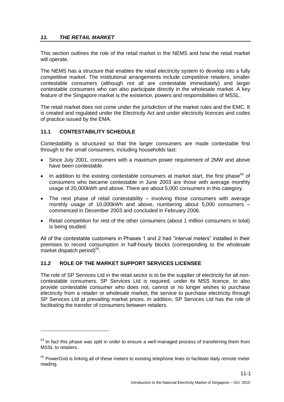#### <span id="page-52-0"></span>*11. THE RETAIL MARKET*

This section outlines the role of the retail market in the NEMS and how the retail market will operate.

The NEMS has a structure that enables the retail electricity system to develop into a fully competitive market. The institutional arrangements include competitive retailers, smaller contestable consumers (although not all are contestable immediately) and larger contestable consumers who can also participate directly in the wholesale market. A key feature of the Singapore market is the existence, powers and responsibilities of MSSL.

The retail market does not come under the jurisdiction of the market rules and the EMC. It is created and regulated under the Electricity Act and under electricity licences and codes of practice issued by the EMA.

## <span id="page-52-1"></span>**11.1 CONTESTABILITY SCHEDULE**

1

Contestability is structured so that the larger consumers are made contestable first through to the small consumers, including households last:

- Since July 2001, consumers with a maximum power requirement of 2MW and above have been contestable.
- In addition to the existing contestable consumers at market start, the first phase<sup>54</sup> of consumers who became contestable in June 2003 are those with average monthly usage of 20,000kWh and above. There are about 5,000 consumers in this category.
- The next phase of retail contestability involving those consumers with average monthly usage of 10,000kWh and above, numbering about 5,000 consumers – commenced in December 2003 and concluded in February 2006.
- Retail competition for rest of the other consumers (about 1 million consumers in total) is being studied.

All of the contestable customers in Phases 1 and 2 had "interval meters" installed in their premises to record consumption in half-hourly blocks (corresponding to the wholesale  $m$ arket dispatch period) $55$ .

# <span id="page-52-2"></span>**11.2 ROLE OF THE MARKET SUPPORT SERVICES LICENSEE**

The role of SP Services Ltd in the retail sector is to be the supplier of electricity for all noncontestable consumers. SP Services Ltd is required, under its MSS licence, to also provide contestable consumer who does not, cannot or no longer wishes to purchase electricity from a retailer or wholesale market, the service to purchase electricity through SP Services Ltd at prevailing market prices. In addition, SP Services Ltd has the role of facilitating the transfer of consumers between retailers.

<sup>&</sup>lt;sup>54</sup> In fact this phase was split in order to ensure a well-managed process of transferring them from MSSL to retailers.

<sup>&</sup>lt;sup>55</sup> PowerGrid is linking all of these meters to existing telephone lines to facilitate daily remote meter reading.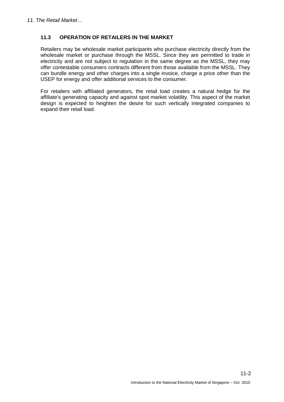## <span id="page-53-0"></span>**11.3 OPERATION OF RETAILERS IN THE MARKET**

Retailers may be wholesale market participants who purchase electricity directly from the wholesale market or purchase through the MSSL. Since they are permitted to trade in electricity and are not subject to regulation in the same degree as the MSSL, they may offer contestable consumers contracts different from those available from the MSSL. They can bundle energy and other charges into a single invoice, charge a price other than the USEP for energy and offer additional services to the consumer.

For retailers with affiliated generators, the retail load creates a natural hedge for the affiliate's generating capacity and against spot market volatility. This aspect of the market design is expected to heighten the desire for such vertically integrated companies to expand their retail load.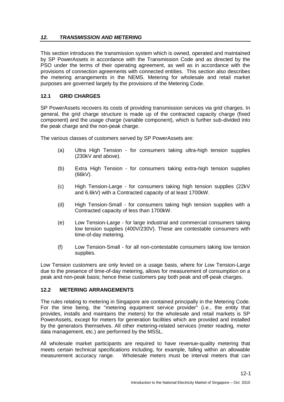## <span id="page-54-0"></span>*12. TRANSMISSION AND METERING*

This section introduces the transmission system which is owned, operated and maintained by SP PowerAssets in accordance with the Transmission Code and as directed by the PSO under the terms of their operating agreement, as well as in accordance with the provisions of connection agreements with connected entities. This section also describes the metering arrangements in the NEMS. Metering for wholesale and retail market purposes are governed largely by the provisions of the Metering Code.

#### <span id="page-54-1"></span>**12.1 GRID CHARGES**

SP PowerAssets recovers its costs of providing transmission services via grid charges. In general, the grid charge structure is made up of the contracted capacity charge (fixed component) and the usage charge (variable component), which is further sub-divided into the peak charge and the non-peak charge.

The various classes of customers served by SP PowerAssets are:

- (a) Ultra High Tension for consumers taking ultra-high tension supplies (230kV and above).
- (b) Extra High Tension for consumers taking extra-high tension supplies (66kV).
- (c) High Tension-Large for consumers taking high tension supplies (22kV and 6.6kV) with a Contracted capacity of at least 1700kW.
- (d) High Tension-Small for consumers taking high tension supplies with a Contracted capacity of less than 1700kW.
- (e) Low Tension-Large for large industrial and commercial consumers taking low tension supplies (400V/230V). These are contestable consumers with time-of-day metering.
- (f) Low Tension-Small for all non-contestable consumers taking low tension supplies.

Low Tension customers are only levied on a usage basis, where for Low Tension-Large due to the presence of time-of-day metering, allows for measurement of consumption on a peak and non-peak basis; hence these customers pay both peak and off-peak charges.

#### <span id="page-54-2"></span>**12.2 METERING ARRANGEMENTS**

The rules relating to metering in Singapore are contained principally in the Metering Code. For the time being, the "metering equipment service provider" (i.e., the entity that provides, installs and maintains the meters) for the wholesale and retail markets is SP PowerAssets, except for meters for generation facilities which are provided and installed by the generators themselves. All other metering-related services (meter reading, meter data management, etc.) are performed by the MSSL.

All wholesale market participants are required to have revenue-quality metering that meets certain technical specifications including, for example, falling within an allowable measurement accuracy range. Wholesale meters must be interval meters that can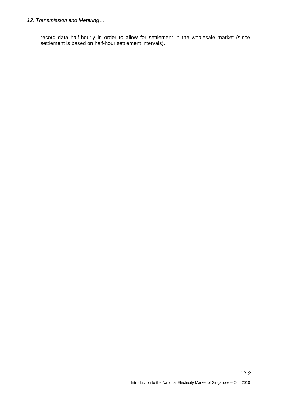*12. Transmission and Metering…*

record data half-hourly in order to allow for settlement in the wholesale market (since settlement is based on half-hour settlement intervals).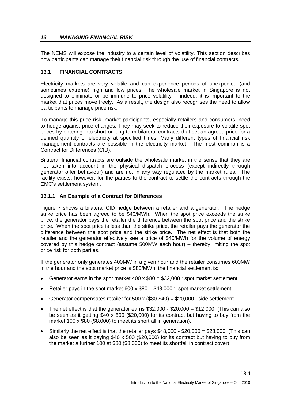## <span id="page-56-0"></span>*13. MANAGING FINANCIAL RISK*

The NEMS will expose the industry to a certain level of volatility. This section describes how participants can manage their financial risk through the use of financial contracts.

## <span id="page-56-1"></span>**13.1 FINANCIAL CONTRACTS**

Electricity markets are very volatile and can experience periods of unexpected (and sometimes extreme) high and low prices. The wholesale market in Singapore is not designed to eliminate or be immune to price volatility – indeed, it is important to the market that prices move freely. As a result, the design also recognises the need to allow participants to manage price risk.

To manage this price risk, market participants, especially retailers and consumers, need to hedge against price changes. They may seek to reduce their exposure to volatile spot prices by entering into short or long term bilateral contracts that set an agreed price for a defined quantity of electricity at specified times. Many different types of financial risk management contracts are possible in the electricity market. The most common is a Contract for Differences (CfD).

Bilateral financial contracts are outside the wholesale market in the sense that they are not taken into account in the physical dispatch process (except indirectly through generator offer behaviour) and are not in any way regulated by the market rules. The facility exists, however, for the parties to the contract to settle the contracts through the EMC's settlement system.

#### **13.1.1 An Example of a Contract for Differences**

[Figure 7](#page-57-0) shows a bilateral CfD hedge between a retailer and a generator. The hedge strike price has been agreed to be \$40/MWh. When the spot price exceeds the strike price, the generator pays the retailer the difference between the spot price and the strike price. When the spot price is less than the strike price, the retailer pays the generator the difference between the spot price and the strike price. The net effect is that both the retailer and the generator effectively see a price of \$40/MWh for the volume of energy covered by this hedge contract (assume 500MW each hour) – thereby limiting the spot price risk for both parties.

If the generator only generates 400MW in a given hour and the retailer consumes 600MW in the hour and the spot market price is \$80/MWh, the financial settlement is:

- Generator earns in the spot market  $400 \times $80 = $32,000$ : spot market settlement.
- Retailer pays in the spot market  $600 \times $80 = $48,000$  : spot market settlement.
- Generator compensates retailer for  $500 \times (1880 440) = 20,000$ : side settlement.
- The net effect is that the generator earns  $$32,000 $20,000 = $12,000$ . (This can also be seen as it getting \$40 x 500 (\$20,000) for its contract but having to buy from the market 100 x \$80 (\$8,000) to meet its shortfall in generation).
- Similarly the net effect is that the retailer pays \$48,000 \$20,000 = \$28,000. (This can also be seen as it paying \$40 x 500 (\$20,000) for its contract but having to buy from the market a further 100 at \$80 (\$8,000) to meet its shortfall in contract cover).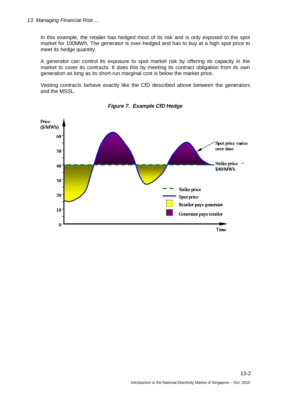In this example, the retailer has hedged most of its risk and is only exposed to the spot market for 100MWh. The generator is over-hedged and has to buy at a high spot price to meet its hedge quantity.

A generator can control its exposure to spot market risk by offering its capacity in the market to cover its contracts. It does this by meeting its contract obligation from its own generation as long as its short-run marginal cost is below the market price.

Vesting contracts behave exactly like the CfD described above between the generators and the MSSL.

<span id="page-57-0"></span>

*Figure 7. Example CfD Hedge*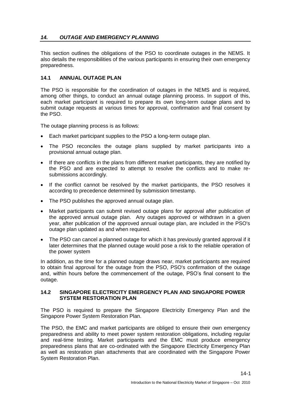## <span id="page-58-0"></span>*14. OUTAGE AND EMERGENCY PLANNING*

This section outlines the obligations of the PSO to coordinate outages in the NEMS. It also details the responsibilities of the various participants in ensuring their own emergency preparedness.

## <span id="page-58-1"></span>**14.1 ANNUAL OUTAGE PLAN**

The PSO is responsible for the coordination of outages in the NEMS and is required, among other things, to conduct an annual outage planning process. In support of this, each market participant is required to prepare its own long-term outage plans and to submit outage requests at various times for approval, confirmation and final consent by the PSO.

The outage planning process is as follows:

- Each market participant supplies to the PSO a long-term outage plan.
- The PSO reconciles the outage plans supplied by market participants into a provisional annual outage plan.
- If there are conflicts in the plans from different market participants, they are notified by the PSO and are expected to attempt to resolve the conflicts and to make resubmissions accordingly.
- If the conflict cannot be resolved by the market participants, the PSO resolves it according to precedence determined by submission timestamp.
- The PSO publishes the approved annual outage plan.
- Market participants can submit revised outage plans for approval after publication of the approved annual outage plan. Any outages approved or withdrawn in a given year, after publication of the approved annual outage plan, are included in the PSO's outage plan updated as and when required.
- The PSO can cancel a planned outage for which it has previously granted approval if it later determines that the planned outage would pose a risk to the reliable operation of the power system

In addition, as the time for a planned outage draws near, market participants are required to obtain final approval for the outage from the PSO, PSO's confirmation of the outage and, within hours before the commencement of the outage, PSO's final consent to the outage.

#### <span id="page-58-2"></span>**14.2 SINGAPORE ELECTRICITY EMERGENCY PLAN AND SINGAPORE POWER SYSTEM RESTORATION PLAN**

The PSO is required to prepare the Singapore Electricity Emergency Plan and the Singapore Power System Restoration Plan.

The PSO, the EMC and market participants are obliged to ensure their own emergency preparedness and ability to meet power system restoration obligations, including regular and real-time testing. Market participants and the EMC must produce emergency preparedness plans that are co-ordinated with the Singapore Electricity Emergency Plan as well as restoration plan attachments that are coordinated with the Singapore Power System Restoration Plan.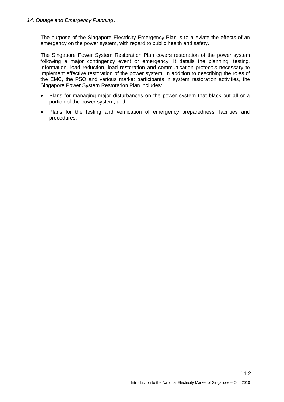*14. Outage and Emergency Planning…*

The purpose of the Singapore Electricity Emergency Plan is to alleviate the effects of an emergency on the power system, with regard to public health and safety.

The Singapore Power System Restoration Plan covers restoration of the power system following a major contingency event or emergency. It details the planning, testing, information, load reduction, load restoration and communication protocols necessary to implement effective restoration of the power system. In addition to describing the roles of the EMC, the PSO and various market participants in system restoration activities, the Singapore Power System Restoration Plan includes:

- Plans for managing major disturbances on the power system that black out all or a portion of the power system; and
- Plans for the testing and verification of emergency preparedness, facilities and procedures.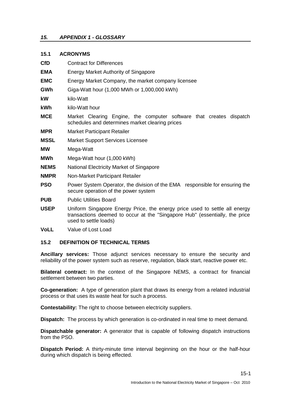#### <span id="page-60-1"></span><span id="page-60-0"></span>**15.1 ACRONYMS**

| CfD | Contract for Differences |
|-----|--------------------------|
|-----|--------------------------|

- **EMA** Energy Market Authority of Singapore
- **EMC** Energy Market Company, the market company licensee
- **GWh** Giga-Watt hour (1,000 MWh or 1,000,000 kWh)
- **kW** kilo-Watt
- **kWh** kilo-Watt hour
- **MCE** Market Clearing Engine, the computer software that creates dispatch schedules and determines market clearing prices
- **MPR** Market Participant Retailer
- **MSSL** Market Support Services Licensee
- **MW** Mega-Watt
- **MWh** Mega-Watt hour (1,000 kWh)
- **NEMS** National Electricity Market of Singapore
- **NMPR** Non-Market Participant Retailer
- **PSO** Power System Operator, the division of the EMA responsible for ensuring the secure operation of the power system
- **PUB** Public Utilities Board
- **USEP** Uniform Singapore Energy Price, the energy price used to settle all energy transactions deemed to occur at the "Singapore Hub" (essentially, the price used to settle loads)
- <span id="page-60-2"></span>**VoLL** Value of Lost Load

#### **15.2 DEFINITION OF TECHNICAL TERMS**

**Ancillary services:** Those adjunct services necessary to ensure the security and reliability of the power system such as reserve, regulation, black start, reactive power etc.

**Bilateral contract:** In the context of the Singapore NEMS, a contract for financial settlement between two parties.

**Co-generation:** A type of generation plant that draws its energy from a related industrial process or that uses its waste heat for such a process.

**Contestability:** The right to choose between electricity suppliers.

**Dispatch:** The process by which generation is co-ordinated in real time to meet demand.

**Dispatchable generator:** A generator that is capable of following dispatch instructions from the PSO.

**Dispatch Period:** A thirty-minute time interval beginning on the hour or the half-hour during which dispatch is being effected.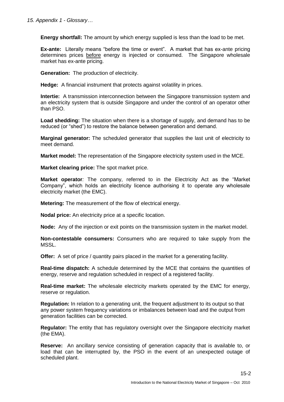**Energy shortfall:** The amount by which energy supplied is less than the load to be met.

**Ex-ante:** Literally means "before the time or event". A market that has ex-ante pricing determines prices before energy is injected or consumed. The Singapore wholesale market has ex-ante pricing.

**Generation:** The production of electricity.

**Hedge:** A financial instrument that protects against volatility in prices.

**Intertie:** A transmission interconnection between the Singapore transmission system and an electricity system that is outside Singapore and under the control of an operator other than PSO.

**Load shedding:** The situation when there is a shortage of supply, and demand has to be reduced (or "shed") to restore the balance between generation and demand.

**Marginal generator:** The scheduled generator that supplies the last unit of electricity to meet demand.

**Market model:** The representation of the Singapore electricity system used in the MCE.

**Market clearing price:** The spot market price.

**Market operator***:* The company, referred to in the Electricity Act as the "Market Company", which holds an electricity licence authorising it to operate any wholesale electricity market (the EMC).

**Metering:** The measurement of the flow of electrical energy.

**Nodal price:** An electricity price at a specific location.

**Node:** Any of the injection or exit points on the transmission system in the market model.

**Non-contestable consumers:** Consumers who are required to take supply from the MSSL.

**Offer:** A set of price / quantity pairs placed in the market for a generating facility.

**Real-time dispatch:** A schedule determined by the MCE that contains the quantities of energy, reserve and regulation scheduled in respect of a registered facility.

**Real-time market:** The wholesale electricity markets operated by the EMC for energy, reserve or regulation.

**Regulation:** In relation to a generating unit, the frequent adjustment to its output so that any power system frequency variations or imbalances between load and the output from generation facilities can be corrected.

**Regulator:** The entity that has regulatory oversight over the Singapore electricity market (the EMA).

**Reserve:** An ancillary service consisting of generation capacity that is available to, or load that can be interrupted by, the PSO in the event of an unexpected outage of scheduled plant.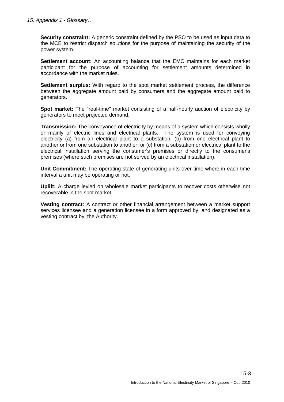**Security constraint:** A generic constraint defined by the PSO to be used as input data to the MCE to restrict dispatch solutions for the purpose of maintaining the security of the power system.

**Settlement account:** An accounting balance that the EMC maintains for each market participant for the purpose of accounting for settlement amounts determined in accordance with the market rules.

**Settlement surplus:** With regard to the spot market settlement process, the difference between the aggregate amount paid by consumers and the aggregate amount paid to generators.

**Spot market:** The "real-time" market consisting of a half-hourly auction of electricity by generators to meet projected demand.

**Transmission:** The conveyance of electricity by means of a system which consists wholly or mainly of electric lines and electrical plants. The system is used for conveying electricity (a) from an electrical plant to a substation; (b) from one electrical plant to another or from one substation to another; or (c) from a substation or electrical plant to the electrical installation serving the consumer's premises or directly to the consumer's premises (where such premises are not served by an electrical installation).

**Unit Commitment:** The operating state of generating units over time where in each time interval a unit may be operating or not.

**Uplift:** A charge levied on wholesale market participants to recover costs otherwise not recoverable in the spot market.

**Vesting contract:** A contract or other financial arrangement between a market support services licensee and a generation licensee in a form approved by, and designated as a vesting contract by, the Authority.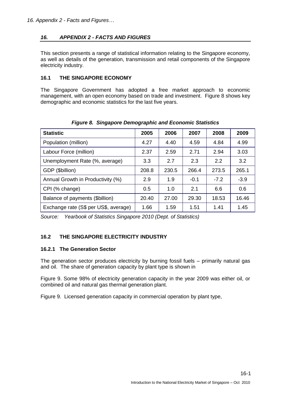## <span id="page-63-0"></span>*16. APPENDIX 2 - FACTS AND FIGURES*

This section presents a range of statistical information relating to the Singapore economy, as well as details of the generation, transmission and retail components of the Singapore electricity industry.

#### <span id="page-63-1"></span>**16.1 THE SINGAPORE ECONOMY**

The Singapore Government has adopted a free market approach to economic management, with an open economy based on trade and investment. [Figure 8](#page-63-3) shows key demographic and economic statistics for the last five years.

<span id="page-63-3"></span>

| <b>Statistic</b>                      | 2005  | 2006  | 2007   | 2008   | 2009   |
|---------------------------------------|-------|-------|--------|--------|--------|
| Population (million)                  | 4.27  | 4.40  | 4.59   | 4.84   | 4.99   |
| Labour Force (million)                | 2.37  | 2.59  | 2.71   | 2.94   | 3.03   |
| Unemployment Rate (%, average)        | 3.3   | 2.7   | 2.3    | 2.2    | 3.2    |
| GDP (\$billion)                       | 208.8 | 230.5 | 266.4  | 273.5  | 265.1  |
| Annual Growth in Productivity (%)     | 2.9   | 1.9   | $-0.1$ | $-7.2$ | $-3.9$ |
| CPI (% change)                        | 0.5   | 1.0   | 2.1    | 6.6    | 0.6    |
| Balance of payments (\$billion)       | 20.40 | 27.00 | 29.30  | 18.53  | 16.46  |
| Exchange rate (S\$ per US\$, average) | 1.66  | 1.59  | 1.51   | 1.41   | 1.45   |

*Figure 8. Singapore Demographic and Economic Statistics*

*Source: Yearbook of Statistics Singapore 2010 (Dept. of Statistics)*

# <span id="page-63-2"></span>**16.2 THE SINGAPORE ELECTRICITY INDUSTRY**

#### **16.2.1 The Generation Sector**

The generation sector produces electricity by burning fossil fuels – primarily natural gas and oil. The share of generation capacity by plant type is shown in

<span id="page-63-4"></span>[Figure 9.](#page-63-4) Some 98% of electricity generation capacity in the year 2009 was either oil, or combined oil and natural gas thermal generation plant.

Figure 9. Licensed generation capacity in commercial operation by plant type,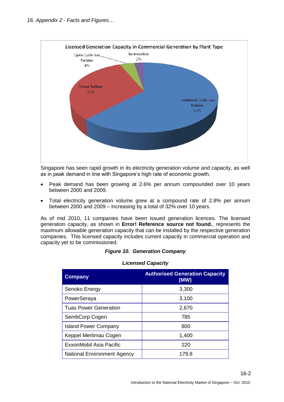

Singapore has seen rapid growth in its electricity generation volume and capacity, as well as in peak demand in line with Singapore's high rate of economic growth.

- Peak demand has been growing at 2.6% per annum compounded over 10 years between 2000 and 2009.
- Total electricity generation volume grew at a compound rate of 2.8% per annum between 2000 and 2009 – increasing by a total of 32% over 10 years.

As of mid 2010, 11 companies have been issued generation licences. The licensed generation capacity, as shown in **Error! Reference source not found.**, represents the maximum allowable generation capacity that can be installed by the respective generation companies. This licensed capacity includes current capacity in commercial operation and capacity yet to be commissioned.

#### *Figure 10. Generation Company*

| <b>Company</b>                     | <b>Authorised Generation Capacity</b><br>(MW) |
|------------------------------------|-----------------------------------------------|
| Senoko Energy                      | 3,300                                         |
| PowerSeraya                        | 3,100                                         |
| <b>Tuas Power Generation</b>       | 2,670                                         |
| SembCorp Cogen                     | 785                                           |
| <b>Island Power Company</b>        | 800                                           |
| Keppel Merlimau Cogen              | 1,400                                         |
| ExxonMobil Asia Pacific            | 220                                           |
| <b>National Environment Agency</b> | 179.8                                         |

#### *Licensed Capacity*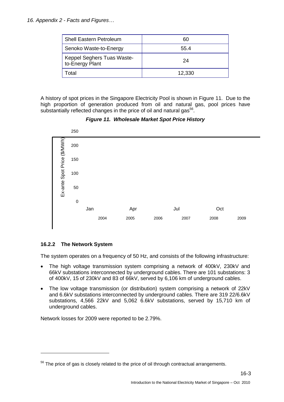| <b>Shell Eastern Petroleum</b>                | 60     |
|-----------------------------------------------|--------|
| Senoko Waste-to-Energy                        | 55.4   |
| Keppel Seghers Tuas Waste-<br>to-Energy Plant | 24     |
| otal                                          | 12,330 |

A history of spot prices in the Singapore Electricity Pool is shown in [Figure 11.](#page-65-0) Due to the high proportion of generation produced from oil and natural gas, pool prices have substantially reflected changes in the price of oil and natural gas<sup>56</sup>.

<span id="page-65-0"></span>



# **16.2.2 The Network System**

1

The system operates on a frequency of 50 Hz, and consists of the following infrastructure:

- The high voltage transmission system comprising a network of 400kV, 230kV and 66kV substations interconnected by underground cables. There are 101 substations: 3 of 400kV, 15 of 230kV and 83 of 66kV, served by 6,106 km of underground cables.
- The low voltage transmission (or distribution) system comprising a network of 22kV and 6.6kV substations interconnected by underground cables. There are 319 22/6.6kV substations, 4,566 22kV and 5,062 6.6kV substations, served by 15,710 km of underground cables.

Network losses for 2009 were reported to be 2.79%.

 $56$  The price of gas is closely related to the price of oil through contractual arrangements.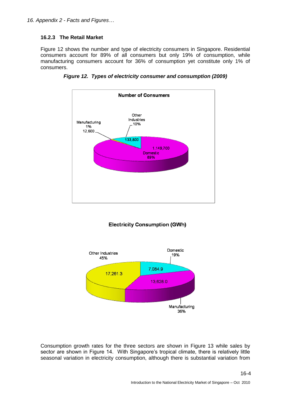# **16.2.3 The Retail Market**

Figure 12 shows the number and type of electricity consumers in Singapore. Residential consumers account for 89% of all consumers but only 19% of consumption, while manufacturing consumers account for 36% of consumption yet constitute only 1% of consumers.



*Figure 12. Types of electricity consumer and consumption (2009)*

# **Electricity Consumption (GWh)**



Consumption growth rates for the three sectors are shown in Figure 13 while sales by sector are shown in Figure 14. With Singapore's tropical climate, there is relatively little seasonal variation in electricity consumption, although there is substantial variation from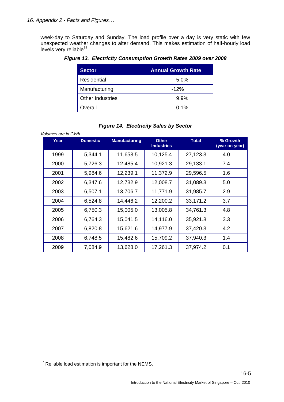week-day to Saturday and Sunday. The load profile over a day is very static with few unexpected weather changes to alter demand. This makes estimation of half-hourly load levels very reliable<sup>57</sup>.

| <b>Sector</b>           | <b>Annual Growth Rate</b> |
|-------------------------|---------------------------|
| Residential             | 5.0%                      |
| Manufacturing           | $-12%$                    |
| <b>Other Industries</b> | 9.9%                      |
| Overall                 | $0.1\%$                   |

#### *Figure 13. Electricity Consumption Growth Rates 2009 over 2008*

| <b>Figure 14. Electricity Sales by Sector</b> |  |
|-----------------------------------------------|--|
|                                               |  |

| Volumes are in GWh |                 |                      |                                   |              |                            |  |  |
|--------------------|-----------------|----------------------|-----------------------------------|--------------|----------------------------|--|--|
| Year               | <b>Domestic</b> | <b>Manufacturing</b> | <b>Other</b><br><b>Industries</b> | <b>Total</b> | % Growth<br>(year on year) |  |  |
| 1999               | 5,344.1         | 11,653.5             | 10,125.4                          | 27,123.3     | 4.0                        |  |  |
| 2000               | 5,726.3         | 12,485.4             | 10,921.3                          | 29,133.1     | 7.4                        |  |  |
| 2001               | 5,984.6         | 12,239.1             | 11,372.9                          | 29,596.5     | 1.6                        |  |  |
| 2002               | 6,347.6         | 12,732.9             | 12,008.7                          | 31,089.3     | 5.0                        |  |  |
| 2003               | 6,507.1         | 13,706.7             | 11,771.9                          | 31,985.7     | 2.9                        |  |  |
| 2004               | 6,524.8         | 14,446.2             | 12,200.2                          | 33,171.2     | 3.7                        |  |  |
| 2005               | 6,750.3         | 15,005.0             | 13,005.8                          | 34,761.3     | 4.8                        |  |  |
| 2006               | 6,764.3         | 15,041.5             | 14,116.0                          | 35,921.8     | 3.3                        |  |  |
| 2007               | 6,820.8         | 15,621.6             | 14,977.9                          | 37,420.3     | 4.2                        |  |  |
| 2008               | 6,748.5         | 15,482.6             | 15,709.2                          | 37,940.3     | 1.4                        |  |  |
| 2009               | 7,084.9         | 13,628.0             | 17,261.3                          | 37,974.2     | 0.1                        |  |  |

1

<sup>57</sup> Reliable load estimation is important for the NEMS.